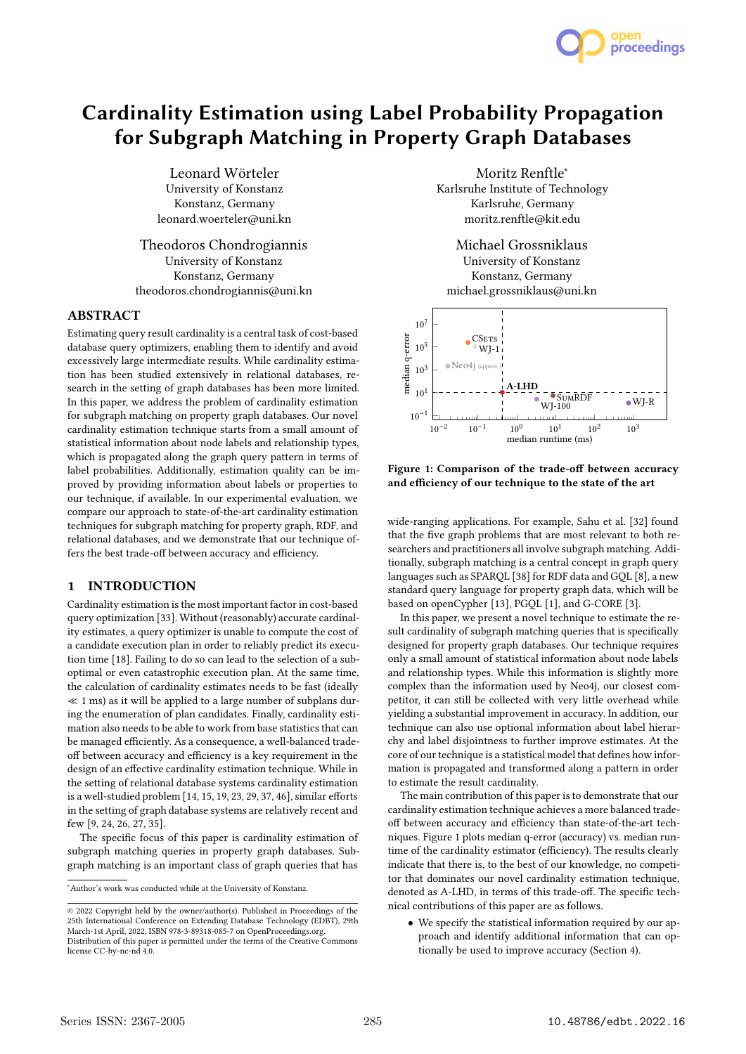

# **Cardinality Estimation using Label Probability Propagation for Subgraph Matching in Property Graph Databases**

Leonard Wörteler University of Konstanz Konstanz, Germany leonard.woerteler@uni.kn

Theodoros Chondrogiannis University of Konstanz Konstanz, Germany theodoros.chondrogiannis@uni.kn

## **ABSTRACT**

Estimating query result cardinality is a central task of cost-based database query optimizers, enabling them to identify and avoid excessively large intermediate results. While cardinality estimation has been studied extensively in relational databases, research in the setting of graph databases has been more limited. In this paper, we address the problem of cardinality estimation for subgraph matching on property graph databases. Our novel cardinality estimation technique starts from a small amount of statistical information about node labels and relationship types, which is propagated along the graph query pattern in terms of label probabilities. Additionally, estimation quality can be improved by providing information about labels or properties to our technique, if available. In our experimental evaluation, we compare our approach to state-of-the-art cardinality estimation techniques for subgraph matching for property graph, RDF, and relational databases, and we demonstrate that our technique offers the best trade-off between accuracy and efficiency.

# **1 INTRODUCTION**

Cardinality estimation is the most important factor in cost-based query optimization [33]. Without (reasonably) accurate cardinality estimates, a query optimizer is unable to compute the cost of a candidate execution plan in order to reliably predict its execution time [18]. Failing to do so can lead to the selection of a suboptimal or even catastrophic execution plan. At the same time, the calculation of cardinality estimates needs to be fast (ideally  $\ll$  1 ms) as it will be applied to a large number of subplans during the enumeration of plan candidates. Finally, cardinality estimation also needs to be able to work from base statistics that can be managed efficiently. As a consequence, a well-balanced tradeoff between accuracy and efficiency is a key requirement in the design of an effective cardinality estimation technique. While in the setting of relational database systems cardinality estimation is a well-studied problem [14, 15, 19, 23, 29, 37, 46], similar efforts in the setting of graph database systems are relatively recent and few [9, 24, 26, 27, 35].

The specific focus of this paper is cardinality estimation of subgraph matching queries in property graph databases. Subgraph matching is an important class of graph queries that has

Moritz Renftle<sup>∗</sup> Karlsruhe Institute of Technology Karlsruhe, Germany moritz.renftle@kit.edu

Michael Grossniklaus University of Konstanz Konstanz, Germany michael.grossniklaus@uni.kn



**Figure 1: Comparison of the trade-off between accuracy and efficiency of our technique to the state of the art**

wide-ranging applications. For example, Sahu et al. [32] found that the five graph problems that are most relevant to both researchers and practitioners all involve subgraph matching. Additionally, subgraph matching is a central concept in graph query languages such as SPARQL [38] for RDF data and GQL [8], a new standard query language for property graph data, which will be based on openCypher [13], PGQL [1], and G-CORE [3].

In this paper, we present a novel technique to estimate the result cardinality of subgraph matching queries that is specifically designed for property graph databases. Our technique requires only a small amount of statistical information about node labels and relationship types. While this information is slightly more complex than the information used by Neo4j, our closest competitor, it can still be collected with very little overhead while yielding a substantial improvement in accuracy. In addition, our technique can also use optional information about label hierarchy and label disjointness to further improve estimates. At the core of our technique is a statistical model that defines how information is propagated and transformed along a pattern in order to estimate the result cardinality.

The main contribution of this paper is to demonstrate that our cardinality estimation technique achieves a more balanced tradeoff between accuracy and efficiency than state-of-the-art techniques. Figure 1 plots median q-error (accuracy) vs. median runtime of the cardinality estimator (efficiency). The results clearly indicate that there is, to the best of our knowledge, no competitor that dominates our novel cardinality estimation technique, denoted as A-LHD, in terms of this trade-off. The specific technical contributions of this paper are as follows.

• We specify the statistical information required by our approach and identify additional information that can optionally be used to improve accuracy (Section 4).

<sup>∗</sup>Author's work was conducted while at the University of Konstanz.

<sup>©</sup> 2022 Copyright held by the owner/author(s). Published in Proceedings of the 25th International Conference on Extending Database Technology (EDBT), 29th March-1st April, 2022, ISBN 978-3-89318-085-7 on OpenProceedings.org. Distribution of this paper is permitted under the terms of the Creative Commons license CC-by-nc-nd 4.0.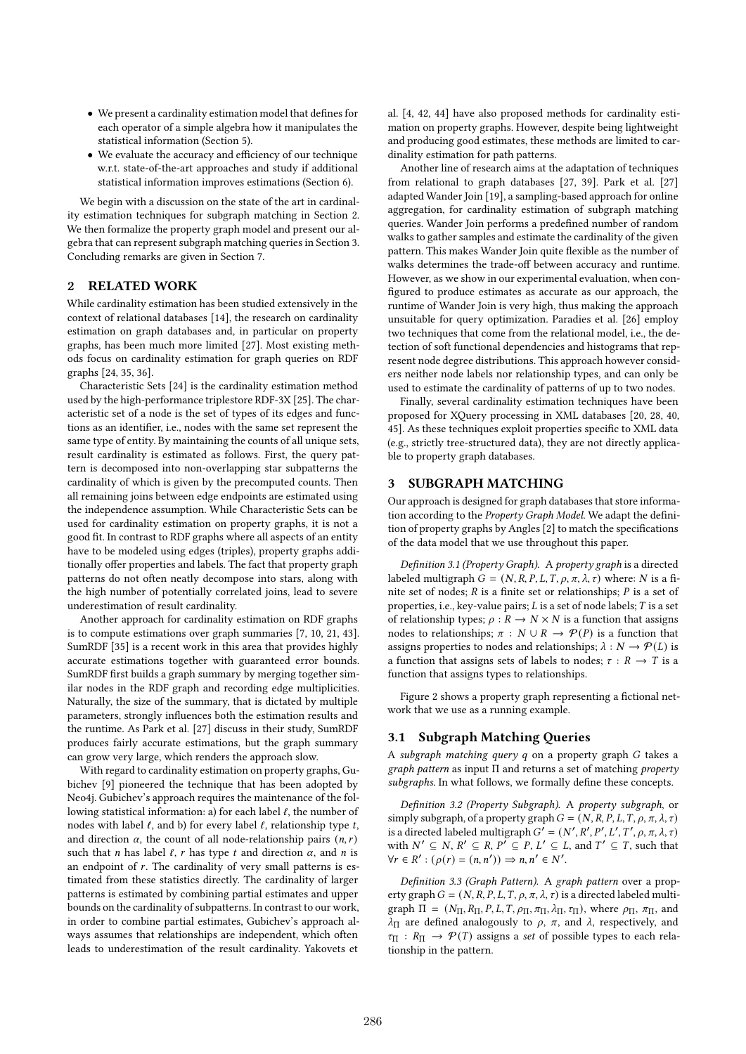- We present a cardinality estimation model that defines for each operator of a simple algebra how it manipulates the statistical information (Section 5).
- We evaluate the accuracy and efficiency of our technique w.r.t. state-of-the-art approaches and study if additional statistical information improves estimations (Section 6).

We begin with a discussion on the state of the art in cardinality estimation techniques for subgraph matching in Section 2. We then formalize the property graph model and present our algebra that can represent subgraph matching queries in Section 3. Concluding remarks are given in Section 7.

# **2 RELATED WORK**

While cardinality estimation has been studied extensively in the context of relational databases [14], the research on cardinality estimation on graph databases and, in particular on property graphs, has been much more limited [27]. Most existing methods focus on cardinality estimation for graph queries on RDF graphs [24, 35, 36].

Characteristic Sets [24] is the cardinality estimation method used by the high-performance triplestore RDF-3X [25]. The characteristic set of a node is the set of types of its edges and functions as an identifier, i.e., nodes with the same set represent the same type of entity. By maintaining the counts of all unique sets, result cardinality is estimated as follows. First, the query pattern is decomposed into non-overlapping star subpatterns the cardinality of which is given by the precomputed counts. Then all remaining joins between edge endpoints are estimated using the independence assumption. While Characteristic Sets can be used for cardinality estimation on property graphs, it is not a good fit. In contrast to RDF graphs where all aspects of an entity have to be modeled using edges (triples), property graphs additionally offer properties and labels. The fact that property graph patterns do not often neatly decompose into stars, along with the high number of potentially correlated joins, lead to severe underestimation of result cardinality.

Another approach for cardinality estimation on RDF graphs is to compute estimations over graph summaries [7, 10, 21, 43]. SumRDF [35] is a recent work in this area that provides highly accurate estimations together with guaranteed error bounds. SumRDF first builds a graph summary by merging together similar nodes in the RDF graph and recording edge multiplicities. Naturally, the size of the summary, that is dictated by multiple parameters, strongly influences both the estimation results and the runtime. As Park et al. [27] discuss in their study, SumRDF produces fairly accurate estimations, but the graph summary can grow very large, which renders the approach slow.

With regard to cardinality estimation on property graphs, Gubichev [9] pioneered the technique that has been adopted by Neo4j. Gubichev's approach requires the maintenance of the following statistical information: a) for each label *ℓ*, the number of nodes with label *ℓ*, and b) for every label *ℓ*, relationship type , and direction  $\alpha$ , the count of all node-relationship pairs  $(n, r)$ such that *n* has label  $\ell$ , *r* has type *t* and direction  $\alpha$ , and *n* is an endpoint of  $r$ . The cardinality of very small patterns is estimated from these statistics directly. The cardinality of larger patterns is estimated by combining partial estimates and upper bounds on the cardinality of subpatterns. In contrast to our work, in order to combine partial estimates, Gubichev's approach always assumes that relationships are independent, which often leads to underestimation of the result cardinality. Yakovets et

al. [4, 42, 44] have also proposed methods for cardinality estimation on property graphs. However, despite being lightweight and producing good estimates, these methods are limited to cardinality estimation for path patterns.

Another line of research aims at the adaptation of techniques from relational to graph databases [27, 39]. Park et al. [27] adapted Wander Join [19], a sampling-based approach for online aggregation, for cardinality estimation of subgraph matching queries. Wander Join performs a predefined number of random walks to gather samples and estimate the cardinality of the given pattern. This makes Wander Join quite flexible as the number of walks determines the trade-off between accuracy and runtime. However, as we show in our experimental evaluation, when configured to produce estimates as accurate as our approach, the runtime of Wander Join is very high, thus making the approach unsuitable for query optimization. Paradies et al. [26] employ two techniques that come from the relational model, i.e., the detection of soft functional dependencies and histograms that represent node degree distributions. This approach however considers neither node labels nor relationship types, and can only be used to estimate the cardinality of patterns of up to two nodes.

Finally, several cardinality estimation techniques have been proposed for XQuery processing in XML databases [20, 28, 40, 45]. As these techniques exploit properties specific to XML data (e.g., strictly tree-structured data), they are not directly applicable to property graph databases.

## **3 SUBGRAPH MATCHING**

Our approach is designed for graph databases that store information according to the *Property Graph Model*. We adapt the definition of property graphs by Angles [2] to match the specifications of the data model that we use throughout this paper.

*Definition 3.1 (Property Graph).* A *property graph* is a directed labeled multigraph  $G = (N, R, P, L, T, \rho, \pi, \lambda, \tau)$  where: N is a finite set of nodes;  $R$  is a finite set or relationships;  $P$  is a set of properties, i.e., key-value pairs;  $L$  is a set of node labels;  $T$  is a set of relationship types;  $\rho : R \to N \times N$  is a function that assigns nodes to relationships;  $\pi : N \cup R \rightarrow \mathcal{P}(P)$  is a function that assigns properties to nodes and relationships;  $\lambda : N \to \mathcal{P}(L)$  is a function that assigns sets of labels to nodes;  $\tau : R \to T$  is a function that assigns types to relationships.

Figure 2 shows a property graph representing a fictional network that we use as a running example.

## **3.1 Subgraph Matching Queries**

A *subgraph matching query q* on a property graph *G* takes a *graph pattern* as input Π and returns a set of matching *property subgraphs*. In what follows, we formally define these concepts.

*Definition 3.2 (Property Subgraph).* A *property subgraph*, or simply subgraph, of a property graph  $G = (N, R, P, L, T, \rho, \pi, \lambda, \tau)$ is a directed labeled multigraph  $G' = (N', R', P', L', T', \rho, \pi, \lambda, \tau)$ with  $N' \subseteq N$ ,  $R' \subseteq R$ ,  $P' \subseteq P$ ,  $L' \subseteq L$ , and  $T' \subseteq T$ , such that  $\forall r \in R' : (\rho(r) = (n, n')) \Rightarrow n, n' \in N'.$ 

*Definition 3.3 (Graph Pattern).* A *graph pattern* over a property graph  $G = (N, R, P, L, T, \rho, \pi, \lambda, \tau)$  is a directed labeled multigraph  $\Pi = (N_{\Pi}, R_{\Pi}, P, L, T, \rho_{\Pi}, \pi_{\Pi}, \lambda_{\Pi}, \tau_{\Pi})$ , where  $\rho_{\Pi}, \pi_{\Pi}$ , and  $\lambda_{\Pi}$  are defined analogously to  $\rho$ ,  $\pi$ , and  $\lambda$ , respectively, and  $\tau_{\Pi}$  :  $R_{\Pi} \rightarrow \mathcal{P}(T)$  assigns a *set* of possible types to each relationship in the pattern.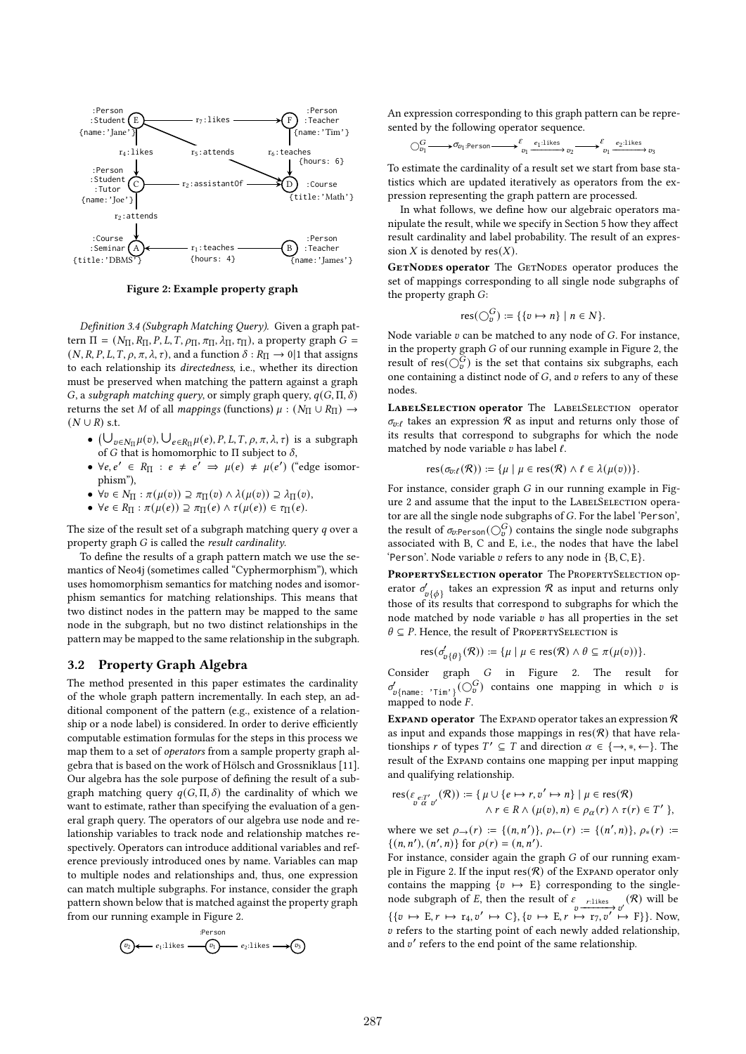

**Figure 2: Example property graph**

*Definition 3.4 (Subgraph Matching Query).* Given a graph pattern Π = ( $N_\Pi$ ,  $R_\Pi$ ,  $P$ ,  $L$ ,  $T$ ,  $ρ_\Pi$ ,  $π_\Pi$ ,  $λ_\Pi$ ,  $τ_\Pi$ ), a property graph  $G$  =  $(N, R, P, L, T, \rho, \pi, \lambda, \tau)$ , and a function  $\delta : R_{\Pi} \to 0$ |1 that assigns to each relationship its *directedness*, i.e., whether its direction must be preserved when matching the pattern against a graph  $G$ , a *subgraph matching query*, or simply graph query,  $q(G, \Pi, \delta)$ returns the set M of all *mappings* (functions)  $\mu : (N_{\Pi} \cup R_{\Pi}) \rightarrow$  $(N \cup R)$  s.t.

- $(\bigcup_{v \in N_{\Pi}} \mu(v), \bigcup_{e \in R_{\Pi}} \mu(e), P, L, T, \rho, \pi, \lambda, \tau)$  is a subgraph of G that is homomorphic to  $\Pi$  subject to  $\delta$ ,
- $\forall e, e' \in R_{\Pi} : e \neq e' \Rightarrow \mu(e) \neq \mu(e')$  ("edge isomorphism"),
- $\forall v \in N_{\Pi} : \pi(\mu(v)) \supseteq \pi_{\Pi}(v) \wedge \lambda(\mu(v)) \supseteq \lambda_{\Pi}(v),$
- $\forall e \in R_{\Pi} : \pi(\mu(e)) \supseteq \pi_{\Pi}(e) \wedge \tau(\mu(e)) \in \tau_{\Pi}(e).$

The size of the result set of a subgraph matching query  $q$  over a property graph *G* is called the *result cardinality*.

To define the results of a graph pattern match we use the semantics of Neo4j (sometimes called "Cyphermorphism"), which uses homomorphism semantics for matching nodes and isomorphism semantics for matching relationships. This means that two distinct nodes in the pattern may be mapped to the same node in the subgraph, but no two distinct relationships in the pattern may be mapped to the same relationship in the subgraph.

# **3.2 Property Graph Algebra**

The method presented in this paper estimates the cardinality of the whole graph pattern incrementally. In each step, an additional component of the pattern (e.g., existence of a relationship or a node label) is considered. In order to derive efficiently computable estimation formulas for the steps in this process we map them to a set of *operators* from a sample property graph algebra that is based on the work of Hölsch and Grossniklaus [11]. Our algebra has the sole purpose of defining the result of a subgraph matching query  $q(G,\Pi,\delta)$  the cardinality of which we want to estimate, rather than specifying the evaluation of a general graph query. The operators of our algebra use node and relationship variables to track node and relationship matches respectively. Operators can introduce additional variables and reference previously introduced ones by name. Variables can map to multiple nodes and relationships and, thus, one expression can match multiple subgraphs. For instance, consider the graph pattern shown below that is matched against the property graph from our running example in Figure 2.

$$
\textcircled{r_2} \longleftarrow e_1 \cdot \text{likes} \longrightarrow \textcircled{r_1} \longrightarrow e_2 \cdot \text{likes} \longrightarrow \textcircled{r_3}
$$

An expression corresponding to this graph pattern can be represented by the following operator sequence.

$$
\bigcirc_{v_1}^{G} \longrightarrow \sigma_{v_1:\text{Person}} \longrightarrow \xleftarrow{\mathcal{E}}_{v_1} \xrightarrow{e_1:\text{likes}}_{v_2} \longrightarrow \xleftarrow{\mathcal{E}}_{v_1} \xrightarrow{e_2:\text{likes}}_{v_3}
$$

To estimate the cardinality of a result set we start from base statistics which are updated iteratively as operators from the expression representing the graph pattern are processed.

In what follows, we define how our algebraic operators manipulate the result, while we specify in Section 5 how they affect result cardinality and label probability. The result of an expression  $X$  is denoted by res $(X)$ .

**GETNODES operator** The GETNODES operator produces the set of mappings corresponding to all single node subgraphs of the property graph  $G$ :

$$
res(\bigcirc v^G_v) := \{ \{v \mapsto n\} \mid n \in N \}.
$$

Node variable  $v$  can be matched to any node of  $G$ . For instance, in the property graph  $G$  of our running example in Figure 2, the result of res $(\bigcirc_v^G)$  is the set that contains six subgraphs, each one containing a distinct node of  $G$ , and  $v$  refers to any of these nodes.

**LabelSelection operator** The LabelSelection operator  $\sigma_{n}$ *f* takes an expression R as input and returns only those of its results that correspond to subgraphs for which the node matched by node variable *v* has label *ℓ*.

$$
\operatorname{res}(\sigma_{v:\ell}(\mathcal{R})) := \{\mu \mid \mu \in \operatorname{res}(\mathcal{R}) \land \ell \in \lambda(\mu(v))\}.
$$

For instance, consider graph  $G$  in our running example in Figure 2 and assume that the input to the LABELSELECTION operator are all the single node subgraphs of G. For the label 'Person', the result of  $\sigma_{\!v\text{-Person}}({\bigcirc}^G_v)$  contains the single node subgraphs associated with B, C and E, i.e., the nodes that have the label 'Person'. Node variable refers to any node in {B*,* C*,* E}.

**PropertySelection operator** The PropertySelection operator  $\sigma'_{v\{\phi\}}$  takes an expression  $\mathcal R$  as input and returns only those of its results that correspond to subgraphs for which the node matched by node variable  $v$  has all properties in the set  $\theta \subseteq P$ . Hence, the result of PROPERTYSELECTION is

$$
\operatorname{res}(\sigma'_{v\{\theta\}}(\mathcal{R})) := \{\mu \mid \mu \in \operatorname{res}(\mathcal{R}) \land \theta \subseteq \pi(\mu(v))\}.
$$

Consider graph  $G$  in Figure 2. The result for  $\sigma'_{v{\text{name}}}$ :  $\sum_{\text{min}} \{O_v^G\}$  contains one mapping in which v is mapped to node  $F$ .

**EXPAND operator** The EXPAND operator takes an expression  $\mathcal{R}$ as input and expands those mappings in  $res(\mathcal{R})$  that have relationships *r* of types  $T' \subseteq T$  and direction  $\alpha \in \{\rightarrow, *, \leftarrow\}$ . The result of the Expand contains one mapping per input mapping and qualifying relationship.

res
$$
(\varepsilon_{\substack{e:\mathcal{T}'\\v\alpha v'}}(\mathcal{R})) := {\mu \cup \{e \mapsto r, v' \mapsto n\} | \mu \in \text{res}(\mathcal{R})
$$
  
  $\wedge r \in R \wedge (\mu(v), n) \in \rho_{\alpha}(r) \wedge \tau(r) \in T' \},$ 

where we set  $\rho \to (r) := \{(n, n')\}, \rho \leftarrow (r) := \{(n', n)\}, \rho_*(r) :=$  $\{(n, n'), (n', n)\}$  for  $\rho(r) = (n, n')$ .

For instance, consider again the graph  $G$  of our running example in Figure 2. If the input  $res(\mathcal{R})$  of the Expand operator only contains the mapping  $\{v \mapsto E\}$  corresponding to the singlenode subgraph of E, then the result of  $\varepsilon$ <sub>rrlikes</sub>  $(v(\mathcal{R}))$  will be  $\{\{v \mapsto E, r \mapsto r_4, v' \mapsto C\}, \{v \mapsto E, r \mapsto r_7, v' \mapsto F\}\}.$  Now,  $v$  refers to the starting point of each newly added relationship, and v' refers to the end point of the same relationship.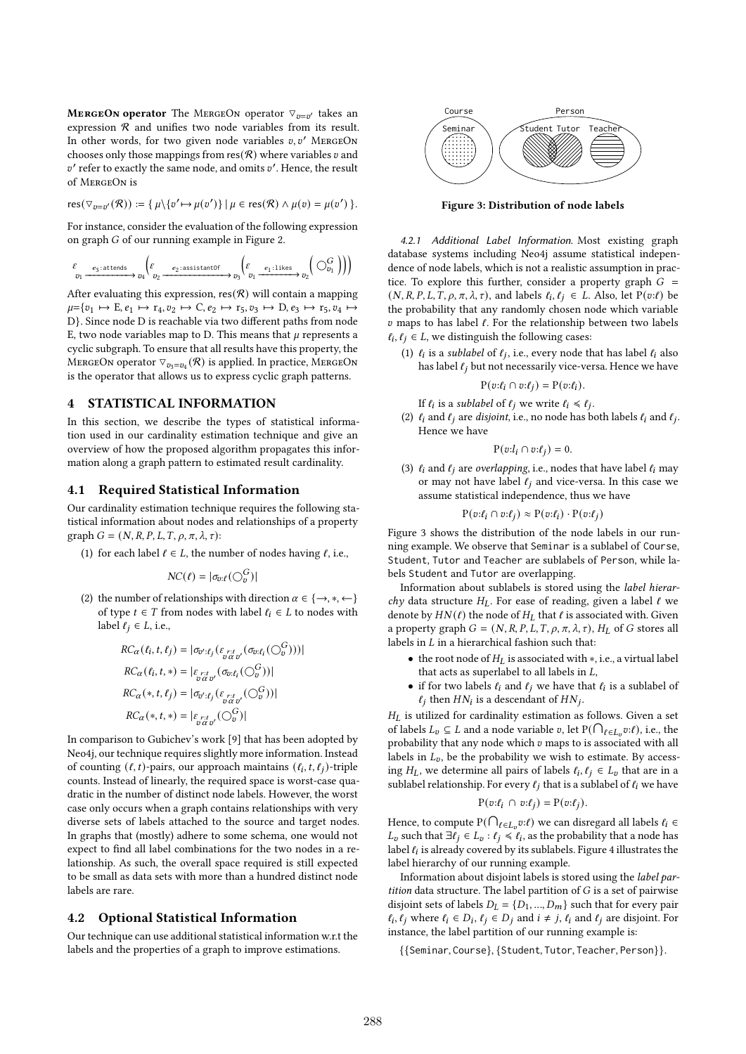$M$ **ERGEON operator** The MERGEON operator  $\triangledown_{v=v^{\prime}}$  takes an expression  $R$  and unifies two node variables from its result. In other words, for two given node variables  $v, v'$  MERGEON chooses only those mappings from  $res(\mathcal{R})$  where variables v and  $v'$  refer to exactly the same node, and omits  $v'$ . Hence, the result of MergeOn is

$$
res(\triangledown_{v=v'}(\mathcal{R})) := \{ \mu \setminus \{v' \mapsto \mu(v')\} \mid \mu \in res(\mathcal{R}) \land \mu(v) = \mu(v') \}.
$$

For instance, consider the evaluation of the following expression on graph  $G$  of our running example in Figure 2.

$$
\mathop{\varepsilon}_{v_1} \xrightarrow{\;\; e_3\,:\, \text{attends}\;}\; v_4 \Big(\mathop{\varepsilon}_{v_2} \xrightarrow{\;\; e_2\,:\, \text{assertantOf}\;}\; \Big(\mathop{\varepsilon}_{v_1} \xrightarrow{\;\; e_1\,:\, \text{likes}\;}\; v_2 \Big(\bigcirc_{v_1}^G\Big)\Big)\Big)
$$

After evaluating this expression,  $res(\mathcal{R})$  will contain a mapping  $\mu = \{v_1 \mapsto E, e_1 \mapsto r_4, v_2 \mapsto C, e_2 \mapsto r_5, v_3 \mapsto D, e_3 \mapsto r_5, v_4 \mapsto$ D}. Since node D is reachable via two different paths from node E, two node variables map to D. This means that  $\mu$  represents a cyclic subgraph. To ensure that all results have this property, the MERGEON operator  $\triangledown_{v_3=v_4} (\mathcal{R})$  is applied. In practice, MERGEON is the operator that allows us to express cyclic graph patterns.

# **4 STATISTICAL INFORMATION**

In this section, we describe the types of statistical information used in our cardinality estimation technique and give an overview of how the proposed algorithm propagates this information along a graph pattern to estimated result cardinality.

## **4.1 Required Statistical Information**

Our cardinality estimation technique requires the following statistical information about nodes and relationships of a property graph  $G = (N, R, P, L, T, \rho, \pi, \lambda, \tau)$ :

(1) for each label  $\ell \in L$ , the number of nodes having  $\ell$ , i.e.,

$$
NC(\ell) = |\sigma_{v:\ell}(\bigcirc_v^G)|
$$

(2) the number of relationships with direction  $\alpha \in \{\rightarrow, *, \leftarrow\}$ of type  $t \in T$  from nodes with label  $\ell_i \in L$  to nodes with label  $\ell_i \in L$ , i.e.,

$$
RC_{\alpha}(\ell_i, t, \ell_j) = |\sigma_{\sigma';\ell_j}(\varepsilon_{\substack{r:t \ v\alpha \sigma'}}(\sigma_{\sigma:\ell_i}(\bigcirc_{\sigma}^{G})))|
$$
  
\n
$$
RC_{\alpha}(\ell_i, t, *) = |\varepsilon_{\substack{r:t \ v\alpha \sigma'}}(\sigma_{\sigma:\ell_i}(\bigcirc_{\sigma}^{G}))|
$$
  
\n
$$
RC_{\alpha}(*, t, \ell_j) = |\sigma_{\sigma':\ell_j}(\varepsilon_{\substack{r:t \ v\alpha \sigma'}}(\bigcirc_{\sigma}^{G}))|
$$
  
\n
$$
RC_{\alpha}(*, t, *) = |\varepsilon_{\substack{r:t \ v\alpha \sigma'}}(\bigcirc_{\sigma}^{G})|
$$

In comparison to Gubichev's work [9] that has been adopted by Neo4j, our technique requires slightly more information. Instead of counting  $(\ell, t)$ -pairs, our approach maintains  $(\ell_i, t, \ell_j)$ -triple counts. Instead of linearly, the required space is worst-case quadratic in the number of distinct node labels. However, the worst case only occurs when a graph contains relationships with very diverse sets of labels attached to the source and target nodes. In graphs that (mostly) adhere to some schema, one would not expect to find all label combinations for the two nodes in a relationship. As such, the overall space required is still expected to be small as data sets with more than a hundred distinct node labels are rare.

## **4.2 Optional Statistical Information**

Our technique can use additional statistical information w.r.t the labels and the properties of a graph to improve estimations.



**Figure 3: Distribution of node labels**

*4.2.1 Additional Label Information.* Most existing graph database systems including Neo4j assume statistical independence of node labels, which is not a realistic assumption in practice. To explore this further, consider a property graph  $G =$  $(N, R, P, L, T, \rho, \pi, \lambda, \tau)$ , and labels  $\ell_i, \ell_j \in L$ . Also, let  $P(v:\ell)$  be the probability that any randomly chosen node which variable maps to has label *ℓ*. For the relationship between two labels  $\ell_i, \ell_j \in L$ , we distinguish the following cases:

(1)  $\ell_i$  is a *sublabel* of  $\ell_j$ , i.e., every node that has label  $\ell_i$  also has label  $\ell_i$  but not necessarily vice-versa. Hence we have

$$
P(v:\ell_i \cap v:\ell_j) = P(v:\ell_i).
$$

If  $\ell_i$  is a *sublabel* of  $\ell_j$  we write  $\ell_i \leq \ell_j$ .

(2)  $\ell_i$  and  $\ell_j$  are *disjoint*, i.e., no node has both labels  $\ell_i$  and  $\ell_j$ . Hence we have

$$
\mathbf{P}(v{:}l_i \cap v{:} \ell_j) = 0.
$$

(3) *ℓ* and *ℓ* are *overlapping*, i.e., nodes that have label *ℓ* may or may not have label *ℓ* and vice-versa. In this case we assume statistical independence, thus we have

$$
P(v:\ell_i \cap v:\ell_j) \approx P(v:\ell_i) \cdot P(v:\ell_j)
$$

Figure 3 shows the distribution of the node labels in our running example. We observe that Seminar is a sublabel of Course, Student, Tutor and Teacher are sublabels of Person, while labels Student and Tutor are overlapping.

Information about sublabels is stored using the *label hierarchy* data structure  $H_L$ . For ease of reading, given a label  $\ell$  we denote by  $HN(\ell)$  the node of  $H_L$  that  $\ell$  is associated with. Given a property graph  $G = (N, R, P, L, T, \rho, \pi, \lambda, \tau)$ ,  $H_I$  of G stores all labels in  $L$  in a hierarchical fashion such that:

- the root node of  $H_L$  is associated with  $*$ , i.e., a virtual label that acts as superlabel to all labels in  $L$ ,
- if for two labels  $\ell_i$  and  $\ell_j$  we have that  $\ell_i$  is a sublabel of  $\ell_j$  then  $HN_i$  is a descendant of  $HN_j$ .

 $H_L$  is utilized for cardinality estimation as follows. Given a set of labels  $L_v \subseteq L$  and a node variable v, let  $P(\bigcap_{\ell \in L_v} v:\ell)$ , i.e., the probability that any node which  $v$  maps to is associated with all labels in  $L_v$ , be the probability we wish to estimate. By accessing  $H_L$ , we determine all pairs of labels  $\ell_i, \ell_j \in L_v$  that are in a sublabel relationship. For every *ℓ* that is a sublabel of *ℓ* we have

$$
\mathrm{P}(v\boldsymbol{\cdot}\ell_i\ \cap\ v\boldsymbol{\cdot}\ell_j)=\mathrm{P}(v\boldsymbol{\cdot}\ell_j).
$$

Hence, to compute  $\mathrm{P}(\bigcap_{\ell\in L_v}v:\ell)$  we can disregard all labels  $\ell_i\in L_v$  $L_v$  such that  $\exists \ell_j \in L_v : \ell_j \leq \ell_i$ , as the probability that a node has label  $\ell_i$  is already covered by its sublabels. Figure 4 illustrates the label hierarchy of our running example.

Information about disjoint labels is stored using the *label partition* data structure. The label partition of  $G$  is a set of pairwise disjoint sets of labels  $D_L = \{D_1, ..., D_m\}$  such that for every pair  $\ell_i$ *,*  $\ell_j$  where  $\ell_i$  ∈  $D_i$ ,  $\ell_j$  ∈  $D_j$  and  $i ≠ j$ ,  $\ell_i$  and  $\ell_j$  are disjoint. For instance, the label partition of our running example is:

{{Seminar*,* Course}*,* {Student*,* Tutor*,* Teacher*,* Person}}*.*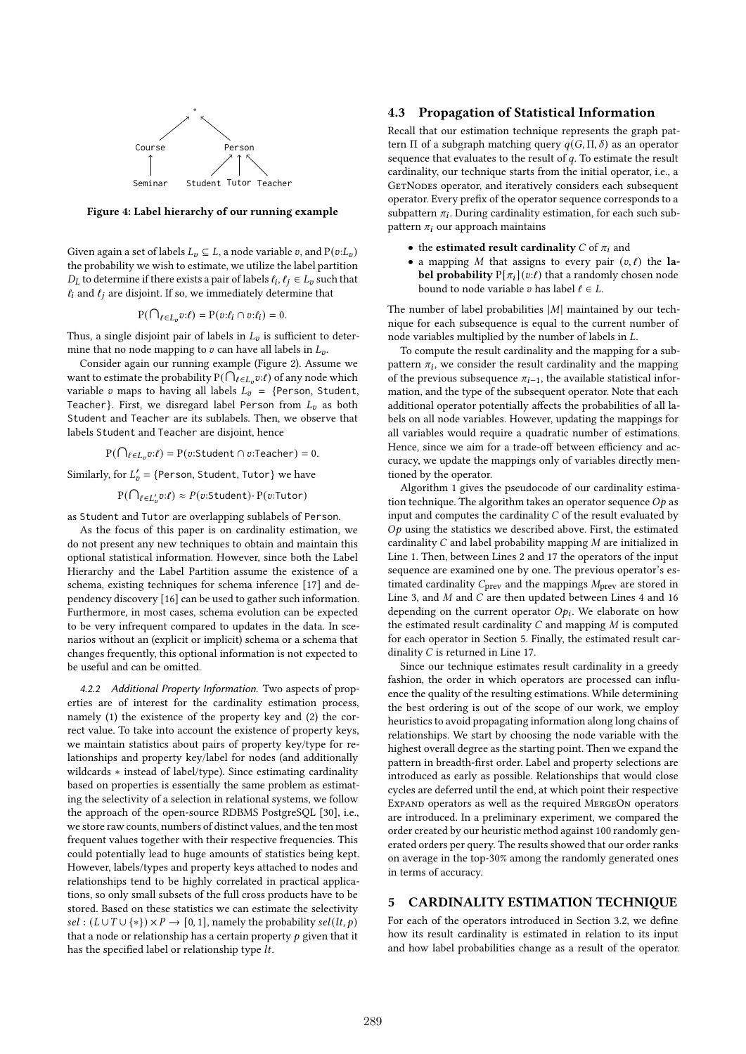

**Figure 4: Label hierarchy of our running example**

Given again a set of labels  $L_v \subseteq L$ , a node variable v, and  $P(v:L_v)$ the probability we wish to estimate, we utilize the label partition  $D_L$  to determine if there exists a pair of labels  $\ell_i, \ell_j \in L_v$  such that  $\ell_i$  and  $\ell_j$  are disjoint. If so, we immediately determine that

$$
P(\bigcap_{\ell \in L_v} v:\ell) = P(v:\ell_i \cap v:\ell_i) = 0.
$$

Thus, a single disjoint pair of labels in  $L_v$  is sufficient to determine that no node mapping to  $v$  can have all labels in  $L_v$ .

Consider again our running example (Figure 2). Assume we want to estimate the probability  $P(\bigcap_{\ell \in L_v} p:\ell)$  of any node which variable v maps to having all labels  $L_v = \{Person, Student,$ Teacher}. First, we disregard label Person from  $L_n$  as both Student and Teacher are its sublabels. Then, we observe that labels Student and Teacher are disjoint, hence

 $P(\bigcap_{\ell \in L_v} v:\ell) = P(v:\mathsf{Student} \cap v:\mathsf{Teacher}) = 0.$ 

Similarly, for  $L'_v = \{$ Person, Student, Tutor} we have

 $P(\bigcap_{\ell \in L'_v} v:\ell) \approx P(v:\mathsf{Student}) \cdot P(v:\mathsf{Tutor})$ 

as Student and Tutor are overlapping sublabels of Person.

As the focus of this paper is on cardinality estimation, we do not present any new techniques to obtain and maintain this optional statistical information. However, since both the Label Hierarchy and the Label Partition assume the existence of a schema, existing techniques for schema inference [17] and dependency discovery [16] can be used to gather such information. Furthermore, in most cases, schema evolution can be expected to be very infrequent compared to updates in the data. In scenarios without an (explicit or implicit) schema or a schema that changes frequently, this optional information is not expected to be useful and can be omitted.

*4.2.2 Additional Property Information.* Two aspects of properties are of interest for the cardinality estimation process, namely (1) the existence of the property key and (2) the correct value. To take into account the existence of property keys, we maintain statistics about pairs of property key/type for relationships and property key/label for nodes (and additionally wildcards ∗ instead of label/type). Since estimating cardinality based on properties is essentially the same problem as estimating the selectivity of a selection in relational systems, we follow the approach of the open-source RDBMS PostgreSQL [30], i.e., we store raw counts, numbers of distinct values, and the ten most frequent values together with their respective frequencies. This could potentially lead to huge amounts of statistics being kept. However, labels/types and property keys attached to nodes and relationships tend to be highly correlated in practical applications, so only small subsets of the full cross products have to be stored. Based on these statistics we can estimate the selectivity  $sel: (L \cup T \cup \{*\}) \times P \rightarrow [0, 1]$ , namely the probability  $sel(lt, p)$ that a node or relationship has a certain property  $p$  given that it has the specified label or relationship type  $lt$ .

# **4.3 Propagation of Statistical Information**

Recall that our estimation technique represents the graph pattern Π of a subgraph matching query  $q(G, \Pi, \delta)$  as an operator sequence that evaluates to the result of  $q$ . To estimate the result cardinality, our technique starts from the initial operator, i.e., a GETNODES operator, and iteratively considers each subsequent operator. Every prefix of the operator sequence corresponds to a subpattern  $\pi_i.$  During cardinality estimation, for each such subpattern  $\pi_i$  our approach maintains

- the **estimated result cardinality**  $C$  of  $\pi_i$  and
- a mapping  $M$  that assigns to every pair  $(v, l)$  the **label probability**  $P[\pi_i](v:\ell)$  that a randomly chosen node bound to node variable  $v$  has label  $\ell \in L$ .

The number of label probabilities  $|M|$  maintained by our technique for each subsequence is equal to the current number of node variables multiplied by the number of labels in  $L$ .

To compute the result cardinality and the mapping for a subpattern  $\pi_i$ , we consider the result cardinality and the mapping of the previous subsequence  $\pi_{i-1}$ , the available statistical information, and the type of the subsequent operator. Note that each additional operator potentially affects the probabilities of all labels on all node variables. However, updating the mappings for all variables would require a quadratic number of estimations. Hence, since we aim for a trade-off between efficiency and accuracy, we update the mappings only of variables directly mentioned by the operator.

Algorithm 1 gives the pseudocode of our cardinality estimation technique. The algorithm takes an operator sequence  $Op$  as input and computes the cardinality  $C$  of the result evaluated by  $Op$  using the statistics we described above. First, the estimated cardinality  $C$  and label probability mapping  $M$  are initialized in Line 1. Then, between Lines 2 and 17 the operators of the input sequence are examined one by one. The previous operator's estimated cardinality  $C_{prev}$  and the mappings  $M_{prev}$  are stored in Line 3, and  $M$  and  $C$  are then updated between Lines 4 and 16 depending on the current operator  $Op_i$ . We elaborate on how the estimated result cardinality  $C$  and mapping  $M$  is computed for each operator in Section 5. Finally, the estimated result cardinality  $C$  is returned in Line 17.

Since our technique estimates result cardinality in a greedy fashion, the order in which operators are processed can influence the quality of the resulting estimations. While determining the best ordering is out of the scope of our work, we employ heuristics to avoid propagating information along long chains of relationships. We start by choosing the node variable with the highest overall degree as the starting point. Then we expand the pattern in breadth-first order. Label and property selections are introduced as early as possible. Relationships that would close cycles are deferred until the end, at which point their respective Expand operators as well as the required MergeOn operators are introduced. In a preliminary experiment, we compared the order created by our heuristic method against 100 randomly generated orders per query. The results showed that our order ranks on average in the top-30% among the randomly generated ones in terms of accuracy.

#### **5 CARDINALITY ESTIMATION TECHNIQUE**

For each of the operators introduced in Section 3.2, we define how its result cardinality is estimated in relation to its input and how label probabilities change as a result of the operator.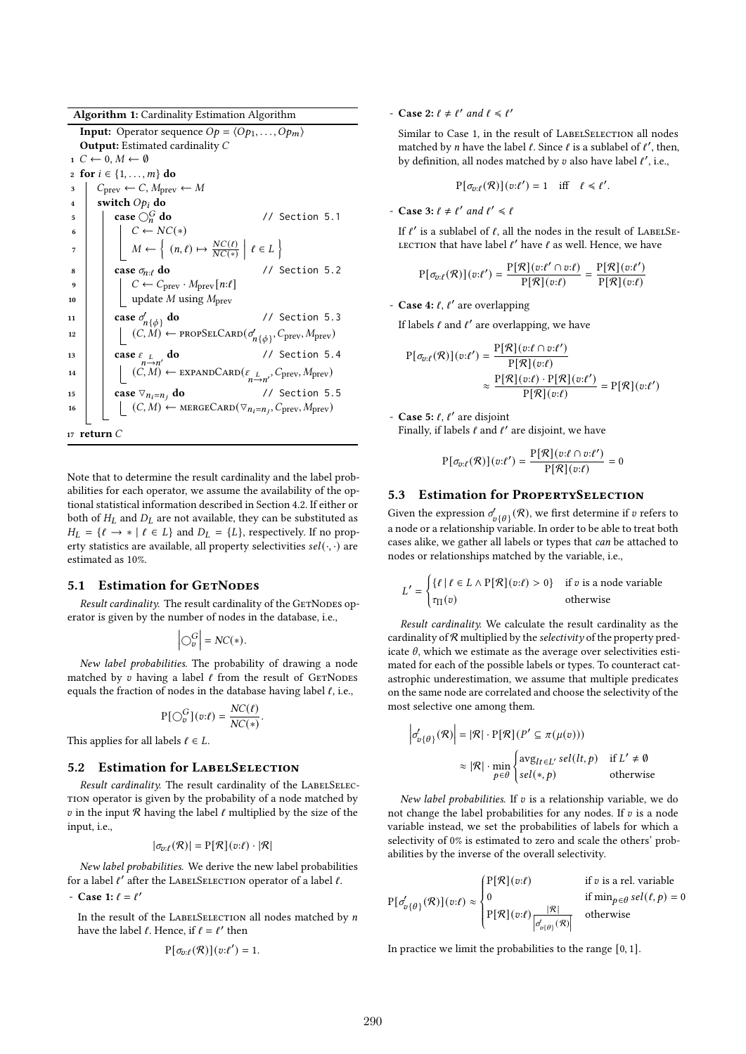**Algorithm 1:** Cardinality Estimation Algorithm

**Input:** Operator sequence  $Op = \langle Op_1, \ldots, Op_m \rangle$ **Output:** Estimated cardinality  $1 \quad C \leftarrow 0, M \leftarrow \emptyset$ **2 for**  $i \in \{1, ..., m\}$  **do 3**  $\vert$   $C_{\text{prev}} \leftarrow C$ ,  $M_{\text{prev}} \leftarrow M$ **4 switch**  $Op_i$  **do 5 case**  $\bigcirc$ <sup>*G*</sup> do **do** // Section 5.1 6  $\vert \vert \vert \in C \leftarrow NC(*)$  $\begin{array}{|c|c|c|c|}\hline\begin{array}{|c|c|c|}\hline\begin{array}{|c|c|c|}\hline\ \end{array} & m\leftarrow \begin{array}{|c|c|c|}\hline \begin{array}{|c|c|c|}\hline \begin{array}{|c|c|c|}\hline \end{array} & m\leftarrow \end{array} & m\leftarrow \begin{array}{|c|c|c|}\hline \begin{array}{|c|c|c|}\hline \begin{array}{|c|c|c|}\hline \end{array} & m\leftarrow \end{array} & m\leftarrow \begin{array}{|c|c|c|}\hline \begin{array}{|c|c|c|}\hline \end$  $\left\{\ell \in L\right\}$  $\mathbf{s}$  | **case**  $\sigma_{n,\ell}$  **do** // Section 5.2  $C \leftarrow C_{\text{prev}} \cdot M_{\text{prev}}[n:\ell]$ 10  $\vert$  update *M* using  $M_{\text{prev}}$ 11 **case**  $\sigma'_{n\{\phi\}}$ **do** // Section 5.3 12  $\Big|$   $\Big( C, M \Big) \leftarrow \text{PROPSELCARD}(\sigma'_{n\{\phi\}}, C_{\text{prev}}, M_{\text{prev}})$ 13 **case**  $\varepsilon_L$   $\underset{n \to n'}{=}$ 14  $\Big| \Big| \Big( \big( \mathcal{C}, \mathcal{M} \big) \leftarrow \text{EXPANDCARD}(\varepsilon_{n \to n'}, \mathcal{C}_{\text{prev}}, \mathcal{M}_{\text{prev}}) \Big)$ **do** // Section 5.4 **15 case**  $\nabla_{n_i=n_i}$  **do** // Section 5.5 16  $\Big|$   $\Big( C, M \Big) \leftarrow \text{MERGECARD}(\nabla_{n_i = n_j}, C_{\text{prev}}, M_{\text{prev}})$ **<sup>17</sup> return**

Note that to determine the result cardinality and the label probabilities for each operator, we assume the availability of the optional statistical information described in Section 4.2. If either or both of  $H_L$  and  $D_L$  are not available, they can be substituted as  $H_L = \{ \ell \rightarrow * | \ell \in L \}$  and  $D_L = \{ L \}$ , respectively. If no property statistics are available, all property selectivities  $sel(·, ·)$  are estimated as 10%.

## **5.1 Estimation for GETNODES**

*Result cardinality.* The result cardinality of the GETNODES operator is given by the number of nodes in the database, i.e.,

$$
\left| \bigcirc_v^G \right| = NC(*).
$$

*New label probabilities.* The probability of drawing a node matched by  $v$  having a label  $\ell$  from the result of GETNODES equals the fraction of nodes in the database having label *ℓ*, i.e.,

$$
P[\bigcirc_v^G](v:\ell) = \frac{NC(\ell)}{NC(*)}.
$$

This applies for all labels  $\ell \in L$ .

#### **5.2 Estimation for LabelSelection**

*Result cardinality.* The result cardinality of the LABELSELECtion operator is given by the probability of a node matched by in the input R having the label *ℓ* multiplied by the size of the input, i.e.,

$$
|\sigma_{v:\ell}(\mathcal{R})| = \mathrm{P}[\mathcal{R}](v:\ell) \cdot |\mathcal{R}|
$$

*New label probabilities.* We derive the new label probabilities for a label  *after the LABELSELECTION operator of a label*  $*ℓ*$ *.* 

 $-$  **Case 1:**  $\ell = \ell'$ 

In the result of the LABELSELECTION all nodes matched by  $n$ have the label  $\ell$ . Hence, if  $\ell = \ell'$  then

$$
P[\sigma_{v:\ell}(\mathcal{R})](v:\ell')=1.
$$

- **Case** 2:  $\ell \neq \ell'$  and  $\ell \leq \ell'$ 

Similar to Case 1, in the result of LABELSELECTION all nodes matched by *n* have the label  $\ell$ . Since  $\ell$  is a sublabel of  $\ell'$ , then, by definition, all nodes matched by  $v$  also have label  $\ell'$ , i.e.,

$$
P[\sigma_{v:\ell}(\mathcal{R})](v:\ell') = 1 \quad \text{iff} \quad \ell \leq \ell'.
$$

- **Case** 3:  $\ell \neq \ell'$  and  $\ell' \leq \ell$ 

If  $\ell'$  is a sublabel of  $\ell$ , all the nodes in the result of LABELSE-LECTION that have label *ℓ'* have *ℓ* as well. Hence, we have

$$
P[\sigma_{v:\ell}(\mathcal{R})](v:\ell') = \frac{P[\mathcal{R}](v:\ell' \cap v:\ell)}{P[\mathcal{R}](v:\ell)} = \frac{P[\mathcal{R}](v:\ell')}{P[\mathcal{R}](v:\ell)}
$$

- **Case 4:**  $\ell$ ,  $\ell'$  are overlapping

If labels  $\ell$  and  $\ell'$  are overlapping, we have

$$
P[\sigma_{v:\ell}(\mathcal{R})](v:\ell') = \frac{P[\mathcal{R}](v:\ell \cap v:\ell')}{P[\mathcal{R}](v:\ell)}
$$

$$
\approx \frac{P[\mathcal{R}](v:\ell) \cdot P[\mathcal{R}](v:\ell')}{P[\mathcal{R}](v:\ell)} = P[\mathcal{R}](v:\ell')
$$

- **Case 5:** *ℓ*, *ℓ* 0 are disjoint

Finally, if labels *ℓ* and *ℓ'* are disjoint, we have

$$
P[\sigma_{v:\ell}(\mathcal{R})](v:\ell') = \frac{P[\mathcal{R}](v:\ell \cap v:\ell')}{P[\mathcal{R}](v:\ell)} = 0
$$

# **5.3 Estimation for PropertySelection**

Given the expression  $\sigma'_{v\{\theta\}}(\mathcal{R})$ , we first determine if  $v$  refers to a node or a relationship variable. In order to be able to treat both cases alike, we gather all labels or types that *can* be attached to nodes or relationships matched by the variable, i.e.,

$$
L' = \begin{cases} {\{\ell \mid \ell \in L \land P[\mathcal{R}](v:\ell) > 0\}} & \text{if } v \text{ is a node variable} \\ \tau_{\Pi}(v) & \text{otherwise} \end{cases}
$$

*Result cardinality.* We calculate the result cardinality as the cardinality of R multiplied by the *selectivity* of the property predicate  $\theta$ , which we estimate as the average over selectivities estimated for each of the possible labels or types. To counteract catastrophic underestimation, we assume that multiple predicates on the same node are correlated and choose the selectivity of the most selective one among them.

$$
\left| \sigma'_{v\{\theta\}}(\mathcal{R}) \right| = |\mathcal{R}| \cdot \mathbf{P}[\mathcal{R}] (P' \subseteq \pi(\mu(v)))
$$

$$
\approx |\mathcal{R}| \cdot \min_{p \in \theta} \begin{cases} \text{avg}_{lt \in L'} \, \text{sel}(lt, p) & \text{if } L' \neq \emptyset \\ \text{sel}(*, p) & \text{otherwise} \end{cases}
$$

*New label probabilities.* If  $v$  is a relationship variable, we do not change the label probabilities for any nodes. If  $v$  is a node variable instead, we set the probabilities of labels for which a selectivity of 0% is estimated to zero and scale the others' probabilities by the inverse of the overall selectivity.

$$
P[\sigma'_{v\{\theta\}}(\mathcal{R})](v:\ell) \approx \begin{cases} P[\mathcal{R}](v:\ell) & \text{if } v \text{ is a rel. variable} \\ 0 & \text{if } \min_{p \in \theta} sel(\ell, p) = 0 \\ P[\mathcal{R}](v:\ell) \frac{|\mathcal{R}|}{|\sigma'_{v(\theta)}(\mathcal{R})|} & \text{otherwise} \end{cases}
$$

In practice we limit the probabilities to the range [0*,* 1].

 $\overline{\phantom{a}}$ I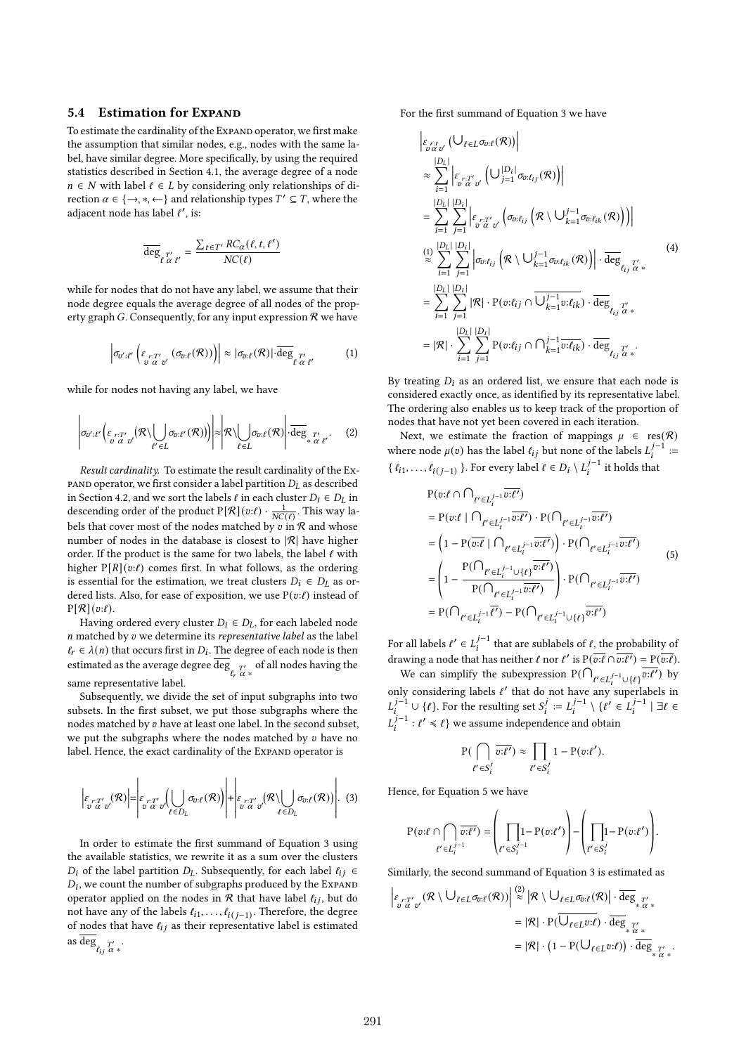## **5.4 Estimation for Expand**

To estimate the cardinality of the Expand operator, we first make the assumption that similar nodes, e.g., nodes with the same label, have similar degree. More specifically, by using the required statistics described in Section 4.1, the average degree of a node  $n \in N$  with label  $\ell \in L$  by considering only relationships of direction  $\alpha \in \{\rightarrow, *, \leftarrow\}$  and relationship types  $T' \subseteq T$ , where the adjacent node has label  $\ell'$ , is:

$$
\overline{\deg}_{\ell \stackrel{T'}{\alpha \ell'}} = \frac{\sum_{t \in T'} RC_{\alpha}(\ell, t, \ell')}{NC(\ell)}
$$

while for nodes that do not have any label, we assume that their node degree equals the average degree of all nodes of the property graph G. Consequently, for any input expression  $\Re$  we have

$$
\left|\sigma_{\sigma';\ell'}\left(\varepsilon_{\substack{r:T'\\ \sigma \alpha \sigma'}}(\sigma_{\sigma;\ell}(\mathcal{R}))\right)\right| \approx |\sigma_{\sigma;\ell}(\mathcal{R})| \cdot \overline{\deg}_{\ell \ \alpha \ \ell'}(\mathcal{R})| \cdot (1)
$$

while for nodes not having any label, we have

$$
\left|\sigma_{\sigma'\cdot\ell'}\left(\varepsilon_{\substack{r\cdot T'\\ \sigma'\alpha'\sigma'}}(\mathcal{R}\setminus\bigcup_{\ell'\in L}\sigma_{\sigma\cdot\ell'}(\mathcal{R}))\right)\right|\approx \left|\mathcal{R}\setminus\bigcup_{\ell\in L}\sigma_{\sigma\cdot\ell}(\mathcal{R})\right|\cdot\overline{\deg}_{*_{\alpha'\ell'}}.
$$
 (2)

*Result cardinality.* To estimate the result cardinality of the Expand operator, we first consider a label partition *DL* as described in Section 4.2, and we sort the labels  $\ell$  in each cluster  $D_i \in D_L$  in descending order of the product  $P[\mathcal{R}](v:\ell) \cdot \frac{1}{N C(\ell)}$ . This way labels that cover most of the nodes matched by  $v$  in  $R$  and whose number of nodes in the database is closest to  $|R|$  have higher order. If the product is the same for two labels, the label *ℓ* with higher  $P[R](v:\ell)$  comes first. In what follows, as the ordering is essential for the estimation, we treat clusters  $D_i \in D_L$  as ordered lists. Also, for ease of exposition, we use P(v: $\ell$ ) instead of  $P[\mathcal{R}](v:\ell).$ 

Having ordered every cluster  $D_i \in D_L$ , for each labeled node matched by we determine its *representative label* as the label  $\ell_r \in \lambda(n)$  that occurs first in  $D_i$ . The degree of each node is then estimated as the average degree deg  $r_r \propto$  of all nodes having the same representative label.

Subsequently, we divide the set of input subgraphs into two subsets. In the first subset, we put those subgraphs where the nodes matched by  $v$  have at least one label. In the second subset, we put the subgraphs where the nodes matched by  $v$  have no label. Hence, the exact cardinality of the Expand operator is

$$
\left|\varepsilon_{\substack{r:T'\\v \alpha}}(\mathcal{R})\right| = \left|\varepsilon_{\substack{r:T'\\v \alpha}}(\bigcup_{\ell \in D_L} \sigma_{v:\ell}(\mathcal{R}))\right| + \left|\varepsilon_{\substack{r:T'\\v \alpha}}(\mathcal{R})\bigcup_{\ell \in D_L} \sigma_{v:\ell}(\mathcal{R})\right|.
$$
 (3)

In order to estimate the first summand of Equation 3 using the available statistics, we rewrite it as a sum over the clusters *D*<sub>*i*</sub> of the label partition *D*<sub>*L*</sub>. Subsequently, for each label  $\ell_{ij} \in$  $D_i$ , we count the number of subgraphs produced by the Expand operator applied on the nodes in  $R$  that have label  $\ell_{ij}$ , but do not have any of the labels  $\ell_{i1}, \ldots, \ell_{i(j-1)}$ . Therefore, the degree of nodes that have  $\ell_{ij}$  as their representative label is estimated as deg<sub> $\ell_{ij} \frac{T'}{\alpha}$ .</sub>

For the first summand of Equation 3 we have

$$
\begin{split}\n&\left|\varepsilon_{\substack{r:t\\v\alpha\sigma'}}\left(\bigcup_{\ell\in L}\sigma_{v:\ell}(\mathcal{R})\right)\right| \\
&\approx \sum_{i=1}^{|D_L|} \left|\varepsilon_{\substack{r:T'\\v\alpha\sigma'}}\left(\bigcup_{j=1}^{|D_i|}\sigma_{v:\ell_{ij}}(\mathcal{R})\right)\right| \\
&= \sum_{i=1}^{|D_L|} \sum_{j=1}^{|D_i|} \left|\varepsilon_{\substack{r:T'\\v\alpha\sigma'}}\left(\sigma_{v:\ell_{ij}}\left(\mathcal{R}\setminus\bigcup_{k=1}^{j-1}\sigma_{v:\ell_{ik}}(\mathcal{R})\right)\right)\right| \\
&\approx \sum_{i=1}^{|D_L|} \sum_{j=1}^{|D_L|} \left|\sigma_{v:\ell_{ij}}\left(\mathcal{R}\setminus\bigcup_{k=1}^{j-1}\sigma_{v:\ell_{ik}}(\mathcal{R})\right)\right| \cdot \overline{\deg}_{\ell_{ij}\sigma'}} \\
&= \sum_{i=1}^{|D_L|} \sum_{j=1}^{|D_L|} |\mathcal{R}| \cdot \mathrm{P}(v:\ell_{ij} \cap \overline{\bigcup_{k=1}^{j-1}v:\ell_{ik}}) \cdot \overline{\deg}_{\ell_{ij}\sigma'}} \\
&= |\mathcal{R}| \cdot \sum_{i=1}^{|D_L|} \sum_{j=1}^{|D_i|} \mathrm{P}(v:\ell_{ij} \cap \bigcap_{k=1}^{j-1} \overline{v:\ell_{ik}}) \cdot \overline{\deg}_{\ell_{ij}\sigma'}}.\n\end{split} \tag{4}
$$

By treating  $D_i$  as an ordered list, we ensure that each node is considered exactly once, as identified by its representative label. The ordering also enables us to keep track of the proportion of nodes that have not yet been covered in each iteration.

Next, we estimate the fraction of mappings  $\mu \in \text{res}(\mathcal{R})$ where node  $\mu(v)$  has the label  $\ell_{ij}$  but none of the labels  $L_i^{j-1}$  := {  $\ell_{i1}, \ldots, \ell_{i(j-1)}$  }. For every label  $\ell \in D_i \setminus L_i^{j-1}$  it holds that

$$
P(v:\ell \cap \bigcap_{\ell' \in L_i^{j-1}} \overline{v:\ell'})
$$
  
\n
$$
= P(v:\ell \mid \bigcap_{\ell' \in L_i^{j-1}} \overline{v:\ell'}) \cdot P(\bigcap_{\ell' \in L_i^{j-1}} \overline{v:\ell'})
$$
  
\n
$$
= \left(1 - P(\overline{v:\ell} \mid \bigcap_{\ell' \in L_i^{j-1}} \overline{v:\ell'})\right) \cdot P(\bigcap_{\ell' \in L_i^{j-1}} \overline{v:\ell'})
$$
  
\n
$$
= \left(1 - \frac{P(\bigcap_{\ell' \in L_i^{j-1} \cup \{\ell\}} \overline{v:\ell'})}{P(\bigcap_{\ell' \in L_i^{j-1}} \overline{v:\ell'})}\right) \cdot P(\bigcap_{\ell' \in L_i^{j-1}} \overline{v:\ell'})
$$
  
\n
$$
= P(\bigcap_{\ell' \in L_i^{j-1}} \overline{\ell'}) - P(\bigcap_{\ell' \in L_i^{j-1} \cup \{\ell\}} \overline{v:\ell'})
$$
  
\n(5)

For all labels  $\ell' \in L_i^{j-1}$  that are sublabels of  $\ell$ , the probability of drawing a node that has neither *ℓ* nor *ℓ'* is  $P(\overline{v:\ell} \cap \overline{v:\ell'}) = P(\overline{v:\ell}).$ 

We can simplify the subexpression  $P(\bigcap_{\ell' \in L_i^{j-1} \cup \{\ell\}} \overline{v:\ell'})$  by only considering labels  $\ell'$  that do not have any superlabels in  $L_i^{j-1}$  ∪ {*ℓ*}. For the resulting set  $S_i^j := L_i^{j-1} \setminus \{ \ell' \in L_i^{j-1} \mid \exists \ell \in$  $L_i^{j-1}: \ell' \leq \ell$  } we assume independence and obtain

$$
\mathbf{P}(\bigcap_{\ell' \in S_i^j} \overline{v:\ell'}) \approx \prod_{\ell' \in S_i^j} 1 - \mathbf{P}(v:\ell').
$$

Hence, for Equation 5 we have

$$
P(v:\ell \cap \bigcap_{\ell' \in L_i^{j-1}} \overline{v:\ell'}) = \left(\prod_{\ell' \in S_i^{j-1}} 1 - P(v:\ell')\right) - \left(\prod_{\ell' \in S_i^{j}} 1 - P(v:\ell')\right).
$$

Similarly, the second summand of Equation 3 is estimated as

 :<sup>0</sup> <sup>0</sup> (R \∪*<sup>ℓ</sup>* <sup>∈</sup>:*<sup>ℓ</sup>* (R)) (2) ≈ R \∪*<sup>ℓ</sup>* <sup>∈</sup>:*<sup>ℓ</sup>* (R) · deg ∗ 0 ∗ <sup>=</sup> |R| · <sup>P</sup>(∪*<sup>ℓ</sup>* <sup>∈</sup>:*ℓ*) · deg ∗ 0 ∗ = |R| · <sup>1</sup> <sup>−</sup> <sup>P</sup>(∪*<sup>ℓ</sup>* <sup>∈</sup>:*ℓ*) · deg ∗ 0 ∗ *.*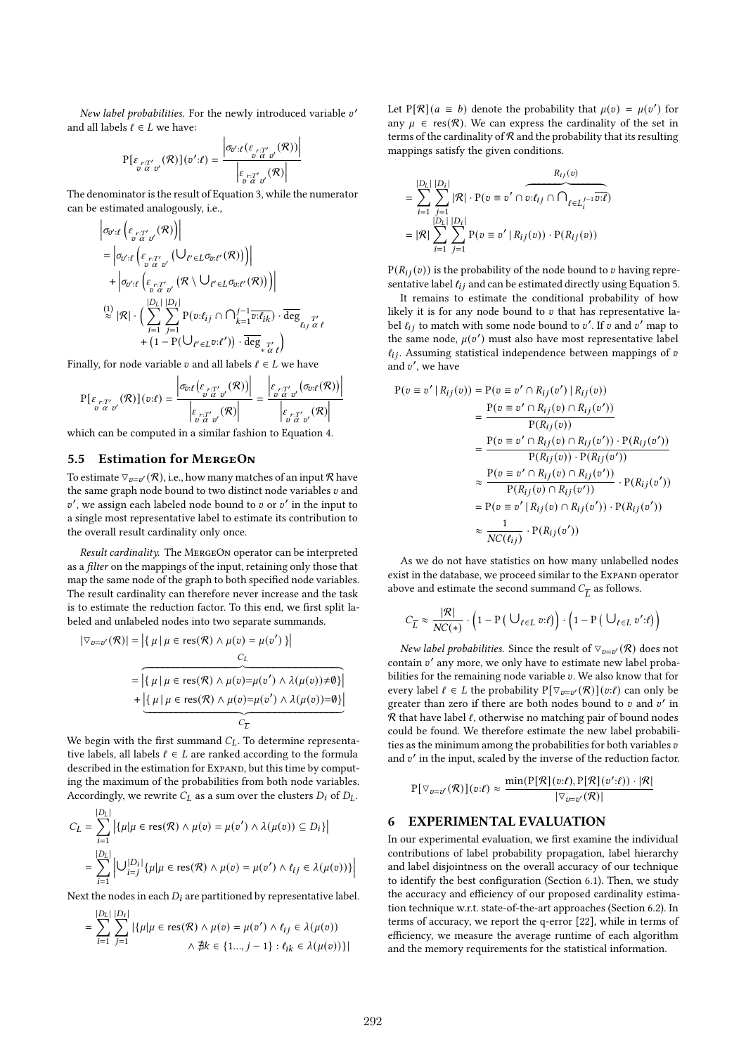New label probabilities. For the newly introduced variable v' and all labels  $\ell \in L$  we have:

$$
P[\varepsilon_{\substack{r:T'\\v\ \alpha\ v'}}(\mathcal{R})](v':\ell) = \frac{\left|\sigma_{v':\ell}(\varepsilon_{\substack{r:T'\\v\ \alpha\ v'}}(\mathcal{R}))\right|}{\left|\varepsilon_{\substack{r:T'\\v\ \alpha\ v'}}(\mathcal{R})\right|}
$$

The denominator is the result of Equation 3, while the numerator can be estimated analogously, i.e.,

$$
\begin{split} &\left|\sigma_{\boldsymbol{v}^{\prime}:\boldsymbol{\ell}}\left(\boldsymbol{\varepsilon}_{\boldsymbol{v}^{\prime},\boldsymbol{\alpha}^{\prime}}(\boldsymbol{\mathcal{R}})\right)\right| \\ &=\left|\sigma_{\boldsymbol{v}^{\prime}:\boldsymbol{\ell}}\left(\boldsymbol{\varepsilon}_{\boldsymbol{v}^{\prime},\boldsymbol{\alpha}^{\prime}}(\boldsymbol{\mathcal{V}})\boldsymbol{\ell}^{\prime}\in\boldsymbol{L}\sigma_{\boldsymbol{v}:\boldsymbol{\ell}^{\prime}}(\boldsymbol{\mathcal{R}})\right)\right| \\ &+\left|\sigma_{\boldsymbol{v}^{\prime}:\boldsymbol{\ell}}\left(\boldsymbol{\varepsilon}_{\boldsymbol{v}^{\prime},\boldsymbol{\alpha}^{\prime}}(\boldsymbol{\mathcal{R}}\setminus\bigcup_{\boldsymbol{\ell}^{\prime}\in\boldsymbol{L}\sigma_{\boldsymbol{v}:\boldsymbol{\ell}^{\prime}}(\boldsymbol{\mathcal{R}})\right)\right)\right| \\ &\stackrel{(1)}{\approx}|\boldsymbol{\mathcal{R}}|\cdot\left(\sum_{i=1}^{|D_{L}|}\sum_{j=1}^{|D_{L}|}P(\boldsymbol{v}:\boldsymbol{\ell}_{ij}\cap\bigcap_{k=1}^{j-1}\overline{\boldsymbol{v}:\boldsymbol{\ell}_{ik}})\cdot\overline{\mathrm{deg}}_{\boldsymbol{\ell}_{ij}\mathcal{L}^{\prime}} \\ &+\left(1-\mathrm{P}(\bigcup_{\boldsymbol{\ell}^{\prime}\in\boldsymbol{L}}\boldsymbol{v}:\boldsymbol{\ell}^{\prime})\right)\cdot\overline{\mathrm{deg}}_{\ast\mathcal{L}^{\prime}\mathcal{L}}\right) \end{split}
$$

Finally, for node variable  $v$  and all labels  $\ell \in L$  we have

$$
\mathbf{P}[\varepsilon_{\substack{r:T'\\v\ \alpha\ \sigma'}}(\mathcal{R})](v:\ell) = \frac{\left|\sigma_{v:\ell}(\varepsilon_{\substack{r:T'\\v\ \alpha\ \sigma'}}(\mathcal{R}))\right|}{\left|\varepsilon_{\substack{r:T'\\v\ \alpha\ \sigma'}}(\mathcal{R})\right|} = \frac{\left|\varepsilon_{\substack{r:T'\\v\ \alpha\ \sigma'}}(\sigma_{v:\ell}(\mathcal{R}))\right|}{\left|\varepsilon_{\substack{r:T'\\v\ \alpha\ \sigma'}}(\mathcal{R})\right|}
$$

Ì I I

which can be computed in a similar fashion to Equation 4.

# **5.5 Estimation for MergeOn**

 $\overline{\mathsf{I}}$  $\overline{\phantom{a}}$ 

To estimate  $\triangledown_{v=v'} (\mathcal{R})$ , i.e., how many matches of an input  $\mathcal{R}$  have the same graph node bound to two distinct node variables  $v$  and  $v'$ , we assign each labeled node bound to  $v$  or  $v'$  in the input to a single most representative label to estimate its contribution to the overall result cardinality only once.

*Result cardinality.* The MergeOn operator can be interpreted as a *filter* on the mappings of the input, retaining only those that map the same node of the graph to both specified node variables. The result cardinality can therefore never increase and the task is to estimate the reduction factor. To this end, we first split labeled and unlabeled nodes into two separate summands.

$$
|\nabla_{v=v'}(\mathcal{R})| = |\{ \mu | \mu \in \text{res}(\mathcal{R}) \land \mu(v) = \mu(v') \} |
$$
  
= 
$$
|\{ \mu | \mu \in \text{res}(\mathcal{R}) \land \mu(v) = \mu(v') \land \lambda(\mu(v)) \neq \emptyset \} |
$$
  
+ 
$$
|\{ \mu | \mu \in \text{res}(\mathcal{R}) \land \mu(v) = \mu(v') \land \lambda(\mu(v)) = \emptyset \} |
$$
  

$$
C_{\overline{L}}
$$

We begin with the first summand  $C_L$ . To determine representative labels, all labels  $\ell \in L$  are ranked according to the formula described in the estimation for Expand, but this time by computing the maximum of the probabilities from both node variables. Accordingly, we rewrite  $C_L$  as a sum over the clusters  $D_i$  of  $D_L$ .

$$
C_L = \sum_{i=1}^{|D_L|} \left| \{ \mu | \mu \in \text{res}(\mathcal{R}) \land \mu(v) = \mu(v') \land \lambda(\mu(v)) \subseteq D_i \} \right|
$$
  
= 
$$
\sum_{i=1}^{|D_L|} \left| \bigcup_{i=j}^{|D_i|} \{ \mu | \mu \in \text{res}(\mathcal{R}) \land \mu(v) = \mu(v') \land \ell_{ij} \in \lambda(\mu(v)) \} \right|
$$

Next the nodes in each  $D_i$  are partitioned by representative label.

$$
= \sum_{i=1}^{|D_L|} \sum_{j=1}^{|D_i|} |\{\mu | \mu \in \text{res}(\mathcal{R}) \land \mu(v) = \mu(v') \land \ell_{ij} \in \lambda(\mu(v))
$$
  

$$
\land \nexists k \in \{1... , j-1\} : \ell_{ik} \in \lambda(\mu(v))\}|
$$

Let P[ $\mathcal{R}$ ]( $a \equiv b$ ) denote the probability that  $\mu(v) = \mu(v')$  for any  $\mu \in \text{res}(\mathcal{R})$ . We can express the cardinality of the set in terms of the cardinality of  $R$  and the probability that its resulting mappings satisfy the given conditions.

$$
= \sum_{i=1}^{|D_L|} \sum_{j=1}^{|D_i|} |\mathcal{R}| \cdot P(v \equiv v' \cap v: \ell_{ij} \cap \bigcap_{\ell \in L_i^{j-1}} \overbrace{v: \ell_{ij}}^{\mathcal{R}_{ij}(v)}
$$

$$
= |\mathcal{R}| \sum_{i=1}^{|D_L|} \sum_{j=1}^{|D_i|} P(v \equiv v' | R_{ij}(v)) \cdot P(R_{ij}(v))
$$

 $P(R_{ij}(v))$  is the probability of the node bound to v having representative label  $\ell_{ij}$  and can be estimated directly using Equation 5.

It remains to estimate the conditional probability of how likely it is for any node bound to  $v$  that has representative label  $\ell_{ij}$  to match with some node bound to  $v'$ . If  $\bar{v}$  and  $v'$  map to the same node,  $\mu(v')$  must also have most representative label  $l_{ij}$ . Assuming statistical independence between mappings of  $v$ and  $v'$ , we have

$$
P(v \equiv v' | R_{ij}(v)) = P(v \equiv v' \cap R_{ij}(v') | R_{ij}(v))
$$
  
= 
$$
\frac{P(v \equiv v' \cap R_{ij}(v) \cap R_{ij}(v'))}{P(R_{ij}(v))}
$$
  
= 
$$
\frac{P(v \equiv v' \cap R_{ij}(v) \cap R_{ij}(v')) \cdot P(R_{ij}(v'))}{P(R_{ij}(v)) \cdot P(R_{ij}(v'))}
$$
  

$$
\approx \frac{P(v \equiv v' \cap R_{ij}(v) \cap R_{ij}(v'))}{P(R_{ij}(v) \cap R_{ij}(v'))} \cdot P(R_{ij}(v'))
$$
  
= 
$$
P(v \equiv v' | R_{ij}(v) \cap R_{ij}(v')) \cdot P(R_{ij}(v'))
$$
  

$$
\approx \frac{1}{NC(\ell_{ij})} \cdot P(R_{ij}(v'))
$$

As we do not have statistics on how many unlabelled nodes exist in the database, we proceed similar to the ExpAND operator above and estimate the second summand  $C_{\overline{L}}$  as follows.

$$
C_{\overline{L}} \approx \frac{|\mathcal{R}|}{NC(*)} \cdot \left(1 - \mathbf{P}\left(\bigcup_{\ell \in L} v:\ell\right)\right) \cdot \left(1 - \mathbf{P}\left(\bigcup_{\ell \in L} v':\ell\right)\right)
$$

*New label probabilities.* Since the result of  $\nabla_{v=v'}(\mathcal{R})$  does not contain v' any more, we only have to estimate new label probabilities for the remaining node variable  $v$ . We also know that for every label  $\ell \in L$  the probability  $P[\nabla_{v=v'}(\mathcal{R})](v:\ell)$  can only be greater than zero if there are both nodes bound to  $v$  and  $v'$  in R that have label *ℓ*, otherwise no matching pair of bound nodes could be found. We therefore estimate the new label probabilities as the minimum among the probabilities for both variables  $v$ and v' in the input, scaled by the inverse of the reduction factor.

$$
P[\triangledown_{v=v'}(\mathcal{R})](v:\ell) \approx \frac{\min(P[\mathcal{R}](v:\ell), P[\mathcal{R}](v':\ell)) \cdot |\mathcal{R}|}{|\triangledown_{v=v'}(\mathcal{R})|}
$$

# **6 EXPERIMENTAL EVALUATION**

In our experimental evaluation, we first examine the individual contributions of label probability propagation, label hierarchy and label disjointness on the overall accuracy of our technique to identify the best configuration (Section 6.1). Then, we study the accuracy and efficiency of our proposed cardinality estimation technique w.r.t. state-of-the-art approaches (Section 6.2). In terms of accuracy, we report the q-error [22], while in terms of efficiency, we measure the average runtime of each algorithm and the memory requirements for the statistical information.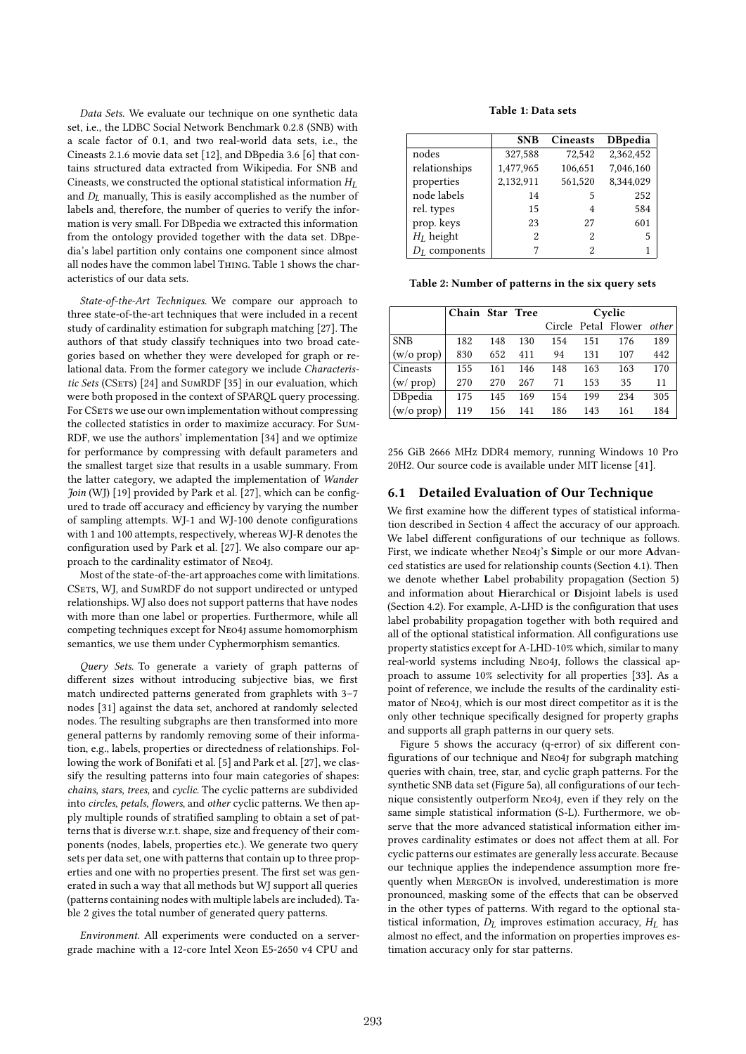*Data Sets.* We evaluate our technique on one synthetic data set, i.e., the LDBC Social Network Benchmark 0.2.8 (SNB) with a scale factor of 0*.*1, and two real-world data sets, i.e., the Cineasts 2.1.6 movie data set [12], and DBpedia 3.6 [6] that contains structured data extracted from Wikipedia. For SNB and Cineasts, we constructed the optional statistical information  $H_L$ and *DL* manually, This is easily accomplished as the number of labels and, therefore, the number of queries to verify the information is very small. For DBpedia we extracted this information from the ontology provided together with the data set. DBpedia's label partition only contains one component since almost all nodes have the common label Thing. Table 1 shows the characteristics of our data sets.

*State-of-the-Art Techniques.* We compare our approach to three state-of-the-art techniques that were included in a recent study of cardinality estimation for subgraph matching [27]. The authors of that study classify techniques into two broad categories based on whether they were developed for graph or relational data. From the former category we include *Characteristic Sets* (CSets) [24] and SumRDF [35] in our evaluation, which were both proposed in the context of SPARQL query processing. For CSETs we use our own implementation without compressing the collected statistics in order to maximize accuracy. For Sum-RDF, we use the authors' implementation [34] and we optimize for performance by compressing with default parameters and the smallest target size that results in a usable summary. From the latter category, we adapted the implementation of *Wander Join* (WJ) [19] provided by Park et al. [27], which can be configured to trade off accuracy and efficiency by varying the number of sampling attempts. WJ-1 and WJ-100 denote configurations with 1 and 100 attempts, respectively, whereas WJ-R denotes the configuration used by Park et al. [27]. We also compare our approach to the cardinality estimator of Neo4j.

Most of the state-of-the-art approaches come with limitations. CSETS, WJ, and SUMRDF do not support undirected or untyped relationships. WJ also does not support patterns that have nodes with more than one label or properties. Furthermore, while all competing techniques except for Neo4j assume homomorphism semantics, we use them under Cyphermorphism semantics.

*Query Sets.* To generate a variety of graph patterns of different sizes without introducing subjective bias, we first match undirected patterns generated from graphlets with 3–7 nodes [31] against the data set, anchored at randomly selected nodes. The resulting subgraphs are then transformed into more general patterns by randomly removing some of their information, e.g., labels, properties or directedness of relationships. Following the work of Bonifati et al. [5] and Park et al. [27], we classify the resulting patterns into four main categories of shapes: *chains*, *stars*, *trees*, and *cyclic*. The cyclic patterns are subdivided into *circles*, *petals*, *flowers*, and *other* cyclic patterns. We then apply multiple rounds of stratified sampling to obtain a set of patterns that is diverse w.r.t. shape, size and frequency of their components (nodes, labels, properties etc.). We generate two query sets per data set, one with patterns that contain up to three properties and one with no properties present. The first set was generated in such a way that all methods but WJ support all queries (patterns containing nodes with multiple labels are included). Table 2 gives the total number of generated query patterns.

*Environment.* All experiments were conducted on a servergrade machine with a 12-core Intel Xeon E5-2650 v4 CPU and

#### **Table 1: Data sets**

|                  | <b>SNB</b> | <b>Cineasts</b> | <b>D</b> Bpedia |
|------------------|------------|-----------------|-----------------|
| nodes            | 327,588    | 72.542          | 2,362,452       |
| relationships    | 1,477,965  | 106,651         | 7,046,160       |
| properties       | 2,132,911  | 561,520         | 8,344,029       |
| node labels      | 14         | 5               | 252             |
| rel. types       | 15         | 4               | 584             |
| prop. keys       | 23         | 27              | 601             |
| $H_L$ height     | 2          | 2               | 5               |
| $D_L$ components |            | 2               |                 |

**Table 2: Number of patterns in the six query sets**

|                      | Chain Star Tree |     |     | Cyclic |     |                           |     |
|----------------------|-----------------|-----|-----|--------|-----|---------------------------|-----|
|                      |                 |     |     |        |     | Circle Petal Flower other |     |
| <b>SNB</b>           | 182             | 148 | 130 | 154    | 151 | 176                       | 189 |
| $(w/o \text{ prop})$ | 830             | 652 | 411 | 94     | 131 | 107                       | 442 |
| Cineasts             | 155             | 161 | 146 | 148    | 163 | 163                       | 170 |
| (w / prop)           | 270             | 270 | 267 | 71     | 153 | 35                        | 11  |
| DBpedia              | 175             | 145 | 169 | 154    | 199 | 234                       | 305 |
| $(w/\sigma)$ prop)   | 119             | 156 | 141 | 186    | 143 | 161                       | 184 |

256 GiB 2666 MHz DDR4 memory, running Windows 10 Pro 20H2. Our source code is available under MIT license [41].

# **6.1 Detailed Evaluation of Our Technique**

We first examine how the different types of statistical information described in Section 4 affect the accuracy of our approach. We label different configurations of our technique as follows. First, we indicate whether Neo4j's **S**imple or our more **A**dvanced statistics are used for relationship counts (Section 4.1). Then we denote whether **L**abel probability propagation (Section 5) and information about **H**ierarchical or **D**isjoint labels is used (Section 4.2). For example, A-LHD is the configuration that uses label probability propagation together with both required and all of the optional statistical information. All configurations use property statistics except for A-LHD-10% which, similar to many real-world systems including Neo4j, follows the classical approach to assume 10% selectivity for all properties [33]. As a point of reference, we include the results of the cardinality estimator of Neo4j, which is our most direct competitor as it is the only other technique specifically designed for property graphs and supports all graph patterns in our query sets.

Figure 5 shows the accuracy (q-error) of six different configurations of our technique and Neo4j for subgraph matching queries with chain, tree, star, and cyclic graph patterns. For the synthetic SNB data set (Figure 5a), all configurations of our technique consistently outperform Neo4j, even if they rely on the same simple statistical information (S-L). Furthermore, we observe that the more advanced statistical information either improves cardinality estimates or does not affect them at all. For cyclic patterns our estimates are generally less accurate. Because our technique applies the independence assumption more frequently when MergeOn is involved, underestimation is more pronounced, masking some of the effects that can be observed in the other types of patterns. With regard to the optional statistical information,  $D_L$  improves estimation accuracy,  $H_L$  has almost no effect, and the information on properties improves estimation accuracy only for star patterns.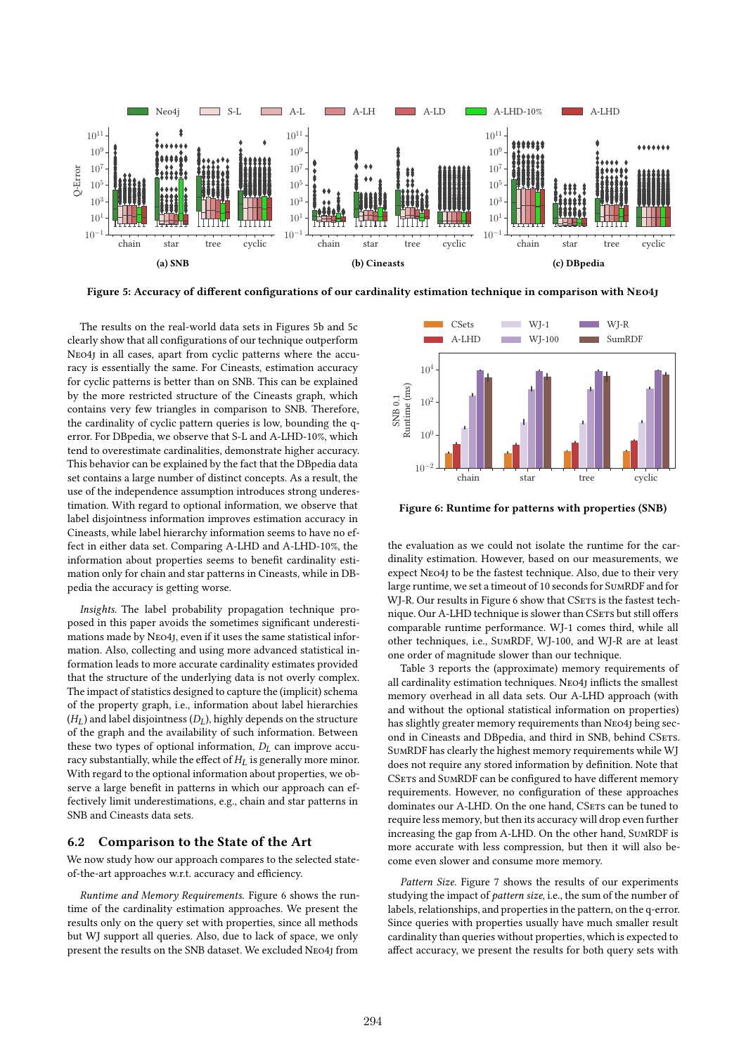

**Figure 5: Accuracy of different configurations of our cardinality estimation technique in comparison with Neo4j**

SNB 0.1

The results on the real-world data sets in Figures 5b and 5c clearly show that all configurations of our technique outperform Neo4j in all cases, apart from cyclic patterns where the accuracy is essentially the same. For Cineasts, estimation accuracy for cyclic patterns is better than on SNB. This can be explained by the more restricted structure of the Cineasts graph, which contains very few triangles in comparison to SNB. Therefore, the cardinality of cyclic pattern queries is low, bounding the qerror. For DBpedia, we observe that S-L and A-LHD-10%, which tend to overestimate cardinalities, demonstrate higher accuracy. This behavior can be explained by the fact that the DBpedia data set contains a large number of distinct concepts. As a result, the use of the independence assumption introduces strong underestimation. With regard to optional information, we observe that label disjointness information improves estimation accuracy in Cineasts, while label hierarchy information seems to have no effect in either data set. Comparing A-LHD and A-LHD-10%, the information about properties seems to benefit cardinality estimation only for chain and star patterns in Cineasts, while in DBpedia the accuracy is getting worse.

*Insights.* The label probability propagation technique proposed in this paper avoids the sometimes significant underestimations made by Neo4j, even if it uses the same statistical information. Also, collecting and using more advanced statistical information leads to more accurate cardinality estimates provided that the structure of the underlying data is not overly complex. The impact of statistics designed to capture the (implicit) schema of the property graph, i.e., information about label hierarchies  $(H_L)$  and label disjointness  $(D_L)$ , highly depends on the structure of the graph and the availability of such information. Between these two types of optional information, *DL* can improve accuracy substantially, while the effect of  $H_L$  is generally more minor. With regard to the optional information about properties, we observe a large benefit in patterns in which our approach can effectively limit underestimations, e.g., chain and star patterns in SNB and Cineasts data sets.

# **6.2 Comparison to the State of the Art**

We now study how our approach compares to the selected stateof-the-art approaches w.r.t. accuracy and efficiency.

*Runtime and Memory Requirements.* Figure 6 shows the runtime of the cardinality estimation approaches. We present the results only on the query set with properties, since all methods but WJ support all queries. Also, due to lack of space, we only present the results on the SNB dataset. We excluded Neo4j from



**Figure 6: Runtime for patterns with properties (SNB)**

the evaluation as we could not isolate the runtime for the cardinality estimation. However, based on our measurements, we expect Neo4j to be the fastest technique. Also, due to their very large runtime, we set a timeout of 10 seconds for SumRDF and for WI-R. Our results in Figure 6 show that CSETs is the fastest technique. Our A-LHD technique is slower than CSETS but still offers comparable runtime performance. WJ-1 comes third, while all other techniques, i.e., SumRDF, WJ-100, and WJ-R are at least one order of magnitude slower than our technique.

Table 3 reports the (approximate) memory requirements of all cardinality estimation techniques. Neo4j inflicts the smallest memory overhead in all data sets. Our A-LHD approach (with and without the optional statistical information on properties) has slightly greater memory requirements than Neo4j being second in Cineasts and DBpedia, and third in SNB, behind CSETs. SumRDF has clearly the highest memory requirements while WJ does not require any stored information by definition. Note that CSETS and SUMRDF can be configured to have different memory requirements. However, no configuration of these approaches dominates our A-LHD. On the one hand, CSETS can be tuned to require less memory, but then its accuracy will drop even further increasing the gap from A-LHD. On the other hand, SumRDF is more accurate with less compression, but then it will also become even slower and consume more memory.

*Pattern Size.* Figure 7 shows the results of our experiments studying the impact of *pattern size*, i.e., the sum of the number of labels, relationships, and properties in the pattern, on the q-error. Since queries with properties usually have much smaller result cardinality than queries without properties, which is expected to affect accuracy, we present the results for both query sets with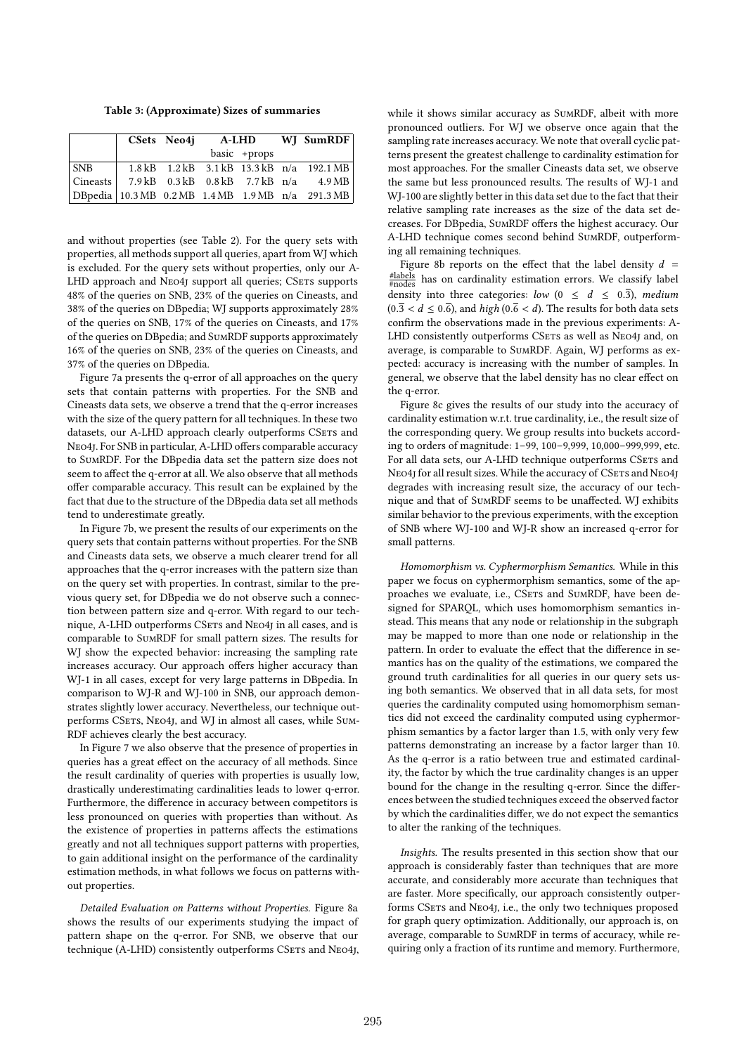**Table 3: (Approximate) Sizes of summaries**

|  | CSets Neo4j A-LHD WJ SumRDF |                |                                                               |
|--|-----------------------------|----------------|---------------------------------------------------------------|
|  |                             | $basic +props$ |                                                               |
|  |                             |                |                                                               |
|  |                             |                |                                                               |
|  |                             |                | DBpedia 10.3 MB $0.2 \text{ MB}$ 1.4 MB 1.9 MB $n/a$ 291.3 MB |

and without properties (see Table 2). For the query sets with properties, all methods support all queries, apart from WJ which is excluded. For the query sets without properties, only our A-LHD approach and NEO4J support all queries; CSETS supports 48% of the queries on SNB, 23% of the queries on Cineasts, and 38% of the queries on DBpedia; WJ supports approximately 28% of the queries on SNB, 17% of the queries on Cineasts, and 17% of the queries on DBpedia; and SumRDF supports approximately 16% of the queries on SNB, 23% of the queries on Cineasts, and 37% of the queries on DBpedia.

Figure 7a presents the q-error of all approaches on the query sets that contain patterns with properties. For the SNB and Cineasts data sets, we observe a trend that the q-error increases with the size of the query pattern for all techniques. In these two datasets, our A-LHD approach clearly outperforms CSETs and Neo4j. For SNB in particular, A-LHD offers comparable accuracy to SumRDF. For the DBpedia data set the pattern size does not seem to affect the q-error at all. We also observe that all methods offer comparable accuracy. This result can be explained by the fact that due to the structure of the DBpedia data set all methods tend to underestimate greatly.

In Figure 7b, we present the results of our experiments on the query sets that contain patterns without properties. For the SNB and Cineasts data sets, we observe a much clearer trend for all approaches that the q-error increases with the pattern size than on the query set with properties. In contrast, similar to the previous query set, for DBpedia we do not observe such a connection between pattern size and q-error. With regard to our technique, A-LHD outperforms CSETS and NEO4J in all cases, and is comparable to SumRDF for small pattern sizes. The results for WJ show the expected behavior: increasing the sampling rate increases accuracy. Our approach offers higher accuracy than WJ-1 in all cases, except for very large patterns in DBpedia. In comparison to WJ-R and WJ-100 in SNB, our approach demonstrates slightly lower accuracy. Nevertheless, our technique outperforms CSETs, NEO4J, and WJ in almost all cases, while SUM-RDF achieves clearly the best accuracy.

In Figure 7 we also observe that the presence of properties in queries has a great effect on the accuracy of all methods. Since the result cardinality of queries with properties is usually low, drastically underestimating cardinalities leads to lower q-error. Furthermore, the difference in accuracy between competitors is less pronounced on queries with properties than without. As the existence of properties in patterns affects the estimations greatly and not all techniques support patterns with properties, to gain additional insight on the performance of the cardinality estimation methods, in what follows we focus on patterns without properties.

*Detailed Evaluation on Patterns without Properties.* Figure 8a shows the results of our experiments studying the impact of pattern shape on the q-error. For SNB, we observe that our technique (A-LHD) consistently outperforms CSETS and NEO4J, while it shows similar accuracy as SumRDF, albeit with more pronounced outliers. For WJ we observe once again that the sampling rate increases accuracy. We note that overall cyclic patterns present the greatest challenge to cardinality estimation for most approaches. For the smaller Cineasts data set, we observe the same but less pronounced results. The results of WJ-1 and WJ-100 are slightly better in this data set due to the fact that their relative sampling rate increases as the size of the data set decreases. For DBpedia, SumRDF offers the highest accuracy. Our A-LHD technique comes second behind SumRDF, outperforming all remaining techniques.

Figure 8b reports on the effect that the label density  $d =$ #labels #nodes has on cardinality estimation errors. We classify label density into three categories: *low*  $(0 \le d \le 0.\overline{3})$ , *medium*  $(0.\overline{3} < d \le 0.\overline{6})$ , and *high*  $(0.\overline{6} < d)$ . The results for both data sets confirm the observations made in the previous experiments: A-LHD consistently outperforms CSETS as well as NEO4J and, on average, is comparable to SumRDF. Again, WJ performs as expected: accuracy is increasing with the number of samples. In general, we observe that the label density has no clear effect on the q-error.

Figure 8c gives the results of our study into the accuracy of cardinality estimation w.r.t. true cardinality, i.e., the result size of the corresponding query. We group results into buckets according to orders of magnitude: 1–99, 100–9*,*999, 10*,*000–999*,*999, etc. For all data sets, our A-LHD technique outperforms CSETs and NEO4J for all result sizes. While the accuracy of CSETS and NEO4J degrades with increasing result size, the accuracy of our technique and that of SumRDF seems to be unaffected. WJ exhibits similar behavior to the previous experiments, with the exception of SNB where WJ-100 and WJ-R show an increased q-error for small patterns.

*Homomorphism vs. Cyphermorphism Semantics.* While in this paper we focus on cyphermorphism semantics, some of the approaches we evaluate, i.e., CSETS and SUMRDF, have been designed for SPARQL, which uses homomorphism semantics instead. This means that any node or relationship in the subgraph may be mapped to more than one node or relationship in the pattern. In order to evaluate the effect that the difference in semantics has on the quality of the estimations, we compared the ground truth cardinalities for all queries in our query sets using both semantics. We observed that in all data sets, for most queries the cardinality computed using homomorphism semantics did not exceed the cardinality computed using cyphermorphism semantics by a factor larger than 1.5, with only very few patterns demonstrating an increase by a factor larger than 10. As the q-error is a ratio between true and estimated cardinality, the factor by which the true cardinality changes is an upper bound for the change in the resulting q-error. Since the differences between the studied techniques exceed the observed factor by which the cardinalities differ, we do not expect the semantics to alter the ranking of the techniques.

*Insights.* The results presented in this section show that our approach is considerably faster than techniques that are more accurate, and considerably more accurate than techniques that are faster. More specifically, our approach consistently outperforms CSETs and NEO4J, i.e., the only two techniques proposed for graph query optimization. Additionally, our approach is, on average, comparable to SumRDF in terms of accuracy, while requiring only a fraction of its runtime and memory. Furthermore,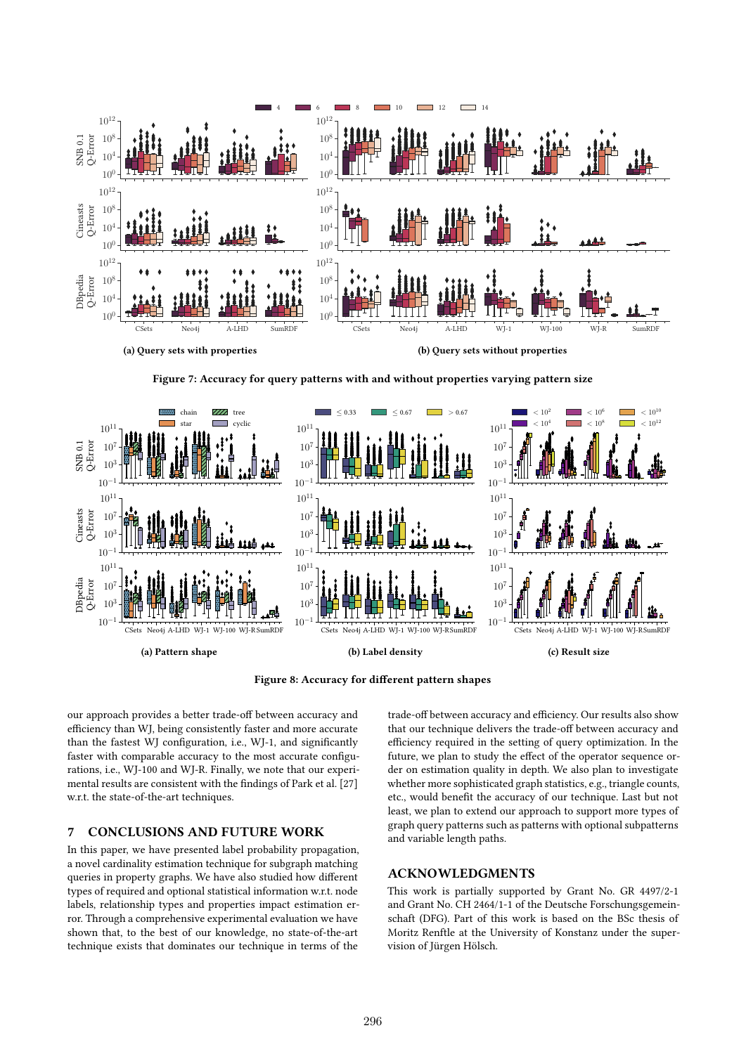

**Figure 7: Accuracy for query patterns with and without properties varying pattern size**



**Figure 8: Accuracy for different pattern shapes**

our approach provides a better trade-off between accuracy and efficiency than WJ, being consistently faster and more accurate than the fastest WJ configuration, i.e., WJ-1, and significantly faster with comparable accuracy to the most accurate configurations, i.e., WJ-100 and WJ-R. Finally, we note that our experimental results are consistent with the findings of Park et al. [27] w.r.t. the state-of-the-art techniques.

# **7 CONCLUSIONS AND FUTURE WORK**

In this paper, we have presented label probability propagation, a novel cardinality estimation technique for subgraph matching queries in property graphs. We have also studied how different types of required and optional statistical information w.r.t. node labels, relationship types and properties impact estimation error. Through a comprehensive experimental evaluation we have shown that, to the best of our knowledge, no state-of-the-art technique exists that dominates our technique in terms of the

trade-off between accuracy and efficiency. Our results also show that our technique delivers the trade-off between accuracy and efficiency required in the setting of query optimization. In the future, we plan to study the effect of the operator sequence order on estimation quality in depth. We also plan to investigate whether more sophisticated graph statistics, e.g., triangle counts, etc., would benefit the accuracy of our technique. Last but not least, we plan to extend our approach to support more types of graph query patterns such as patterns with optional subpatterns and variable length paths.

# **ACKNOWLEDGMENTS**

This work is partially supported by Grant No. GR 4497/2-1 and Grant No. CH 2464/1-1 of the Deutsche Forschungsgemeinschaft (DFG). Part of this work is based on the BSc thesis of Moritz Renftle at the University of Konstanz under the supervision of Jürgen Hölsch.